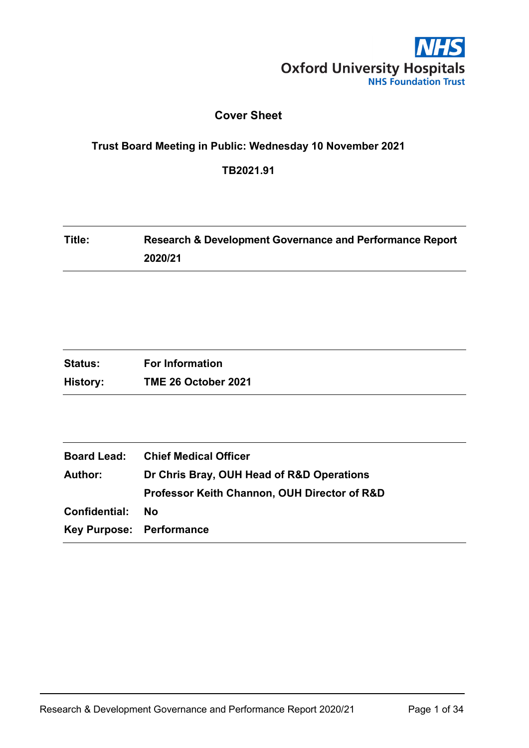

## **Cover Sheet**

# **Trust Board Meeting in Public: Wednesday 10 November 2021**

**TB2021.91**

| Title: | <b>Research &amp; Development Governance and Performance Report</b> |
|--------|---------------------------------------------------------------------|
|        | 2020/21                                                             |

| <b>Status:</b> | <b>For Information</b> |
|----------------|------------------------|
| History:       | TME 26 October 2021    |

| <b>Chief Medical Officer</b>                                |  |
|-------------------------------------------------------------|--|
| Dr Chris Bray, OUH Head of R&D Operations<br><b>Author:</b> |  |
| Professor Keith Channon, OUH Director of R&D                |  |
| No                                                          |  |
| Key Purpose: Performance                                    |  |
|                                                             |  |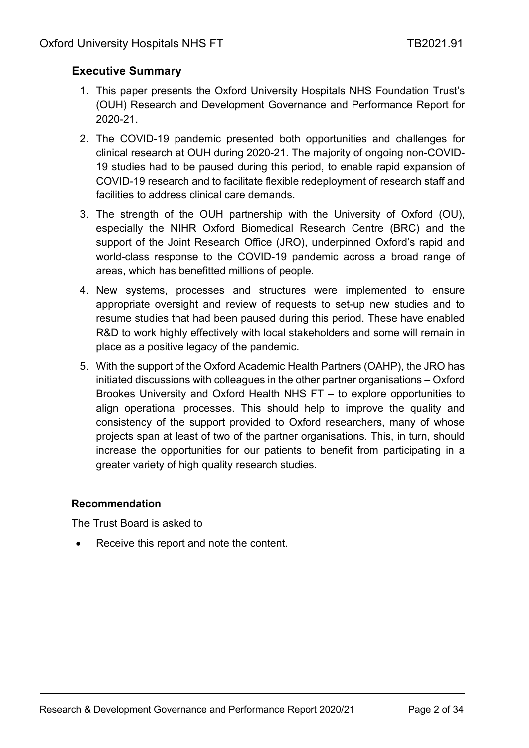## <span id="page-1-0"></span>**Executive Summary**

- 1. This paper presents the Oxford University Hospitals NHS Foundation Trust's (OUH) Research and Development Governance and Performance Report for 2020-21.
- 2. The COVID-19 pandemic presented both opportunities and challenges for clinical research at OUH during 2020-21. The majority of ongoing non-COVID-19 studies had to be paused during this period, to enable rapid expansion of COVID-19 research and to facilitate flexible redeployment of research staff and facilities to address clinical care demands.
- 3. The strength of the OUH partnership with the University of Oxford (OU), especially the NIHR Oxford Biomedical Research Centre (BRC) and the support of the Joint Research Office (JRO), underpinned Oxford's rapid and world-class response to the COVID-19 pandemic across a broad range of areas, which has benefitted millions of people.
- 4. New systems, processes and structures were implemented to ensure appropriate oversight and review of requests to set-up new studies and to resume studies that had been paused during this period. These have enabled R&D to work highly effectively with local stakeholders and some will remain in place as a positive legacy of the pandemic.
- 5. With the support of the Oxford Academic Health Partners (OAHP), the JRO has initiated discussions with colleagues in the other partner organisations – Oxford Brookes University and Oxford Health NHS FT – to explore opportunities to align operational processes. This should help to improve the quality and consistency of the support provided to Oxford researchers, many of whose projects span at least of two of the partner organisations. This, in turn, should increase the opportunities for our patients to benefit from participating in a greater variety of high quality research studies.

### **Recommendation**

The Trust Board is asked to

Receive this report and note the content.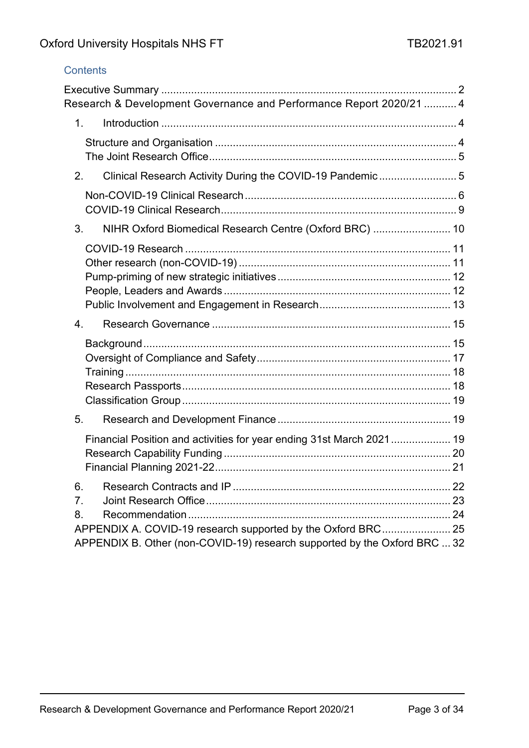## **Contents**

|                  | Research & Development Governance and Performance Report 2020/21  4       |  |
|------------------|---------------------------------------------------------------------------|--|
|                  | 1.                                                                        |  |
|                  |                                                                           |  |
| 2.               | Clinical Research Activity During the COVID-19 Pandemic 5                 |  |
|                  |                                                                           |  |
| 3.               | NIHR Oxford Biomedical Research Centre (Oxford BRC)  10                   |  |
|                  |                                                                           |  |
|                  |                                                                           |  |
|                  |                                                                           |  |
|                  |                                                                           |  |
| $\overline{4}$ . |                                                                           |  |
|                  |                                                                           |  |
|                  |                                                                           |  |
|                  |                                                                           |  |
|                  |                                                                           |  |
| 5.               |                                                                           |  |
|                  | Financial Position and activities for year ending 31st March 2021 19      |  |
|                  |                                                                           |  |
|                  |                                                                           |  |
| 6.               |                                                                           |  |
| 7.               |                                                                           |  |
| 8.               | APPENDIX A. COVID-19 research supported by the Oxford BRC 25              |  |
|                  | APPENDIX B. Other (non-COVID-19) research supported by the Oxford BRC  32 |  |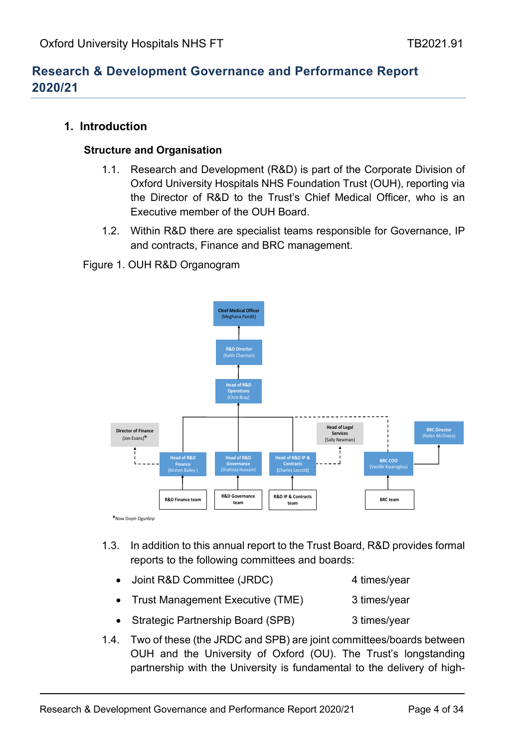# <span id="page-3-0"></span>**Research & Development Governance and Performance Report 2020/21**

### <span id="page-3-2"></span><span id="page-3-1"></span>**1. Introduction**

#### **Structure and Organisation**

- 1.1. Research and Development (R&D) is part of the Corporate Division of Oxford University Hospitals NHS Foundation Trust (OUH), reporting via the Director of R&D to the Trust's Chief Medical Officer, who is an Executive member of the OUH Board.
- 1.2. Within R&D there are specialist teams responsible for Governance, IP and contracts, Finance and BRC management.

Figure 1. OUH R&D Organogram



- 1.3. In addition to this annual report to the Trust Board, R&D provides formal reports to the following committees and boards:
	- Joint R&D Committee (JRDC) 4 times/year
	- Trust Management Executive (TME) 3 times/year
	- Strategic Partnership Board (SPB) 3 times/year
- 1.4. Two of these (the JRDC and SPB) are joint committees/boards between OUH and the University of Oxford (OU). The Trust's longstanding partnership with the University is fundamental to the delivery of high-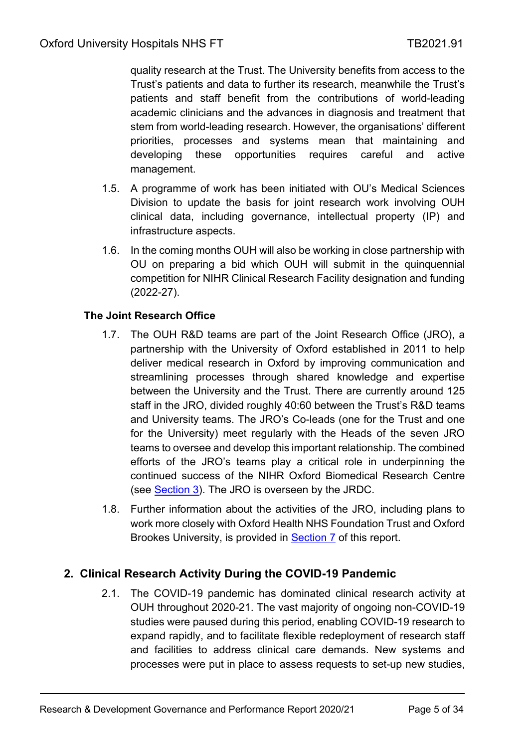quality research at the Trust. The University benefits from access to the Trust's patients and data to further its research, meanwhile the Trust's patients and staff benefit from the contributions of world-leading academic clinicians and the advances in diagnosis and treatment that stem from world-leading research. However, the organisations' different priorities, processes and systems mean that maintaining and developing these opportunities requires careful and active management.

- 1.5. A programme of work has been initiated with OU's Medical Sciences Division to update the basis for joint research work involving OUH clinical data, including governance, intellectual property (IP) and infrastructure aspects.
- 1.6. In the coming months OUH will also be working in close partnership with OU on preparing a bid which OUH will submit in the quinquennial competition for NIHR Clinical Research Facility designation and funding (2022-27).

## <span id="page-4-0"></span>**The Joint Research Office**

- 1.7. The OUH R&D teams are part of the Joint Research Office (JRO), a partnership with the University of Oxford established in 2011 to help deliver medical research in Oxford by improving communication and streamlining processes through shared knowledge and expertise between the University and the Trust. There are currently around 125 staff in the JRO, divided roughly 40:60 between the Trust's R&D teams and University teams. The JRO's Co-leads (one for the Trust and one for the University) meet regularly with the Heads of the seven JRO teams to oversee and develop this important relationship. The combined efforts of the JRO's teams play a critical role in underpinning the continued success of the NIHR Oxford Biomedical Research Centre (see [Section 3\)](#page-9-0). The JRO is overseen by the JRDC.
- 1.8. Further information about the activities of the JRO, including plans to work more closely with Oxford Health NHS Foundation Trust and Oxford Brookes University, is provided in **Section 7** of this report.

## <span id="page-4-1"></span>**2. Clinical Research Activity During the COVID-19 Pandemic**

2.1. The COVID-19 pandemic has dominated clinical research activity at OUH throughout 2020-21. The vast majority of ongoing non-COVID-19 studies were paused during this period, enabling COVID-19 research to expand rapidly, and to facilitate flexible redeployment of research staff and facilities to address clinical care demands. New systems and processes were put in place to assess requests to set-up new studies,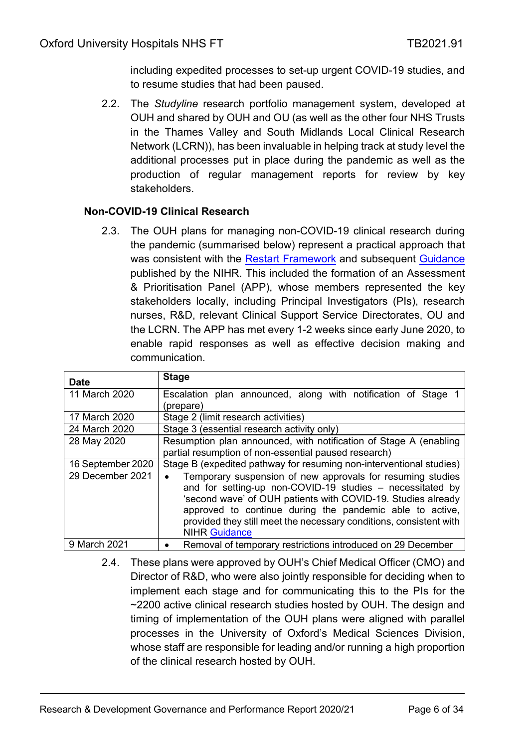including expedited processes to set-up urgent COVID-19 studies, and to resume studies that had been paused.

2.2. The *Studyline* research portfolio management system, developed at OUH and shared by OUH and OU (as well as the other four NHS Trusts in the Thames Valley and South Midlands Local Clinical Research Network (LCRN)), has been invaluable in helping track at study level the additional processes put in place during the pandemic as well as the production of regular management reports for review by key stakeholders.

### <span id="page-5-0"></span>**Non-COVID-19 Clinical Research**

2.3. The OUH plans for managing non-COVID-19 clinical research during the pandemic (summarised below) represent a practical approach that was consistent with the [Restart Framework](https://www.nihr.ac.uk/documents/restart-framework/24886) and subsequent [Guidance](https://www.nihr.ac.uk/documents/nihr-guidance-for-a-second-wave-of-covid-19-activity/25837) published by the NIHR. This included the formation of an Assessment & Prioritisation Panel (APP), whose members represented the key stakeholders locally, including Principal Investigators (PIs), research nurses, R&D, relevant Clinical Support Service Directorates, OU and the LCRN. The APP has met every 1-2 weeks since early June 2020, to enable rapid responses as well as effective decision making and communication.

| <b>Date</b>       | <b>Stage</b>                                                                                                                                                                                                                                                                                                                                                   |  |  |
|-------------------|----------------------------------------------------------------------------------------------------------------------------------------------------------------------------------------------------------------------------------------------------------------------------------------------------------------------------------------------------------------|--|--|
| 11 March 2020     | Escalation plan announced, along with notification of Stage<br>(prepare)                                                                                                                                                                                                                                                                                       |  |  |
| 17 March 2020     | Stage 2 (limit research activities)                                                                                                                                                                                                                                                                                                                            |  |  |
| 24 March 2020     | Stage 3 (essential research activity only)                                                                                                                                                                                                                                                                                                                     |  |  |
| 28 May 2020       | Resumption plan announced, with notification of Stage A (enabling<br>partial resumption of non-essential paused research)                                                                                                                                                                                                                                      |  |  |
| 16 September 2020 | Stage B (expedited pathway for resuming non-interventional studies)                                                                                                                                                                                                                                                                                            |  |  |
| 29 December 2021  | Temporary suspension of new approvals for resuming studies<br>$\bullet$<br>and for setting-up non-COVID-19 studies - necessitated by<br>'second wave' of OUH patients with COVID-19. Studies already<br>approved to continue during the pandemic able to active,<br>provided they still meet the necessary conditions, consistent with<br><b>NIHR Guidance</b> |  |  |
| 9 March 2021      | Removal of temporary restrictions introduced on 29 December                                                                                                                                                                                                                                                                                                    |  |  |

2.4. These plans were approved by OUH's Chief Medical Officer (CMO) and Director of R&D, who were also jointly responsible for deciding when to implement each stage and for communicating this to the PIs for the ~2200 active clinical research studies hosted by OUH. The design and timing of implementation of the OUH plans were aligned with parallel processes in the University of Oxford's Medical Sciences Division, whose staff are responsible for leading and/or running a high proportion of the clinical research hosted by OUH.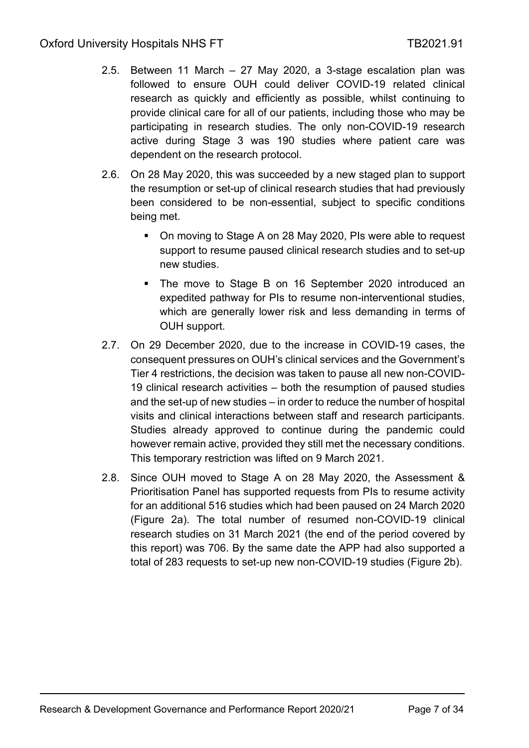- 2.5. Between 11 March 27 May 2020, a 3-stage escalation plan was followed to ensure OUH could deliver COVID-19 related clinical research as quickly and efficiently as possible, whilst continuing to provide clinical care for all of our patients, including those who may be participating in research studies. The only non-COVID-19 research active during Stage 3 was 190 studies where patient care was dependent on the research protocol.
- 2.6. On 28 May 2020, this was succeeded by a new staged plan to support the resumption or set-up of clinical research studies that had previously been considered to be non-essential, subject to specific conditions being met.
	- On moving to Stage A on 28 May 2020, PIs were able to request support to resume paused clinical research studies and to set-up new studies.
	- The move to Stage B on 16 September 2020 introduced an expedited pathway for PIs to resume non-interventional studies, which are generally lower risk and less demanding in terms of OUH support.
- 2.7. On 29 December 2020, due to the increase in COVID-19 cases, the consequent pressures on OUH's clinical services and the Government's Tier 4 restrictions, the decision was taken to pause all new non-COVID-19 clinical research activities – both the resumption of paused studies and the set-up of new studies – in order to reduce the number of hospital visits and clinical interactions between staff and research participants. Studies already approved to continue during the pandemic could however remain active, provided they still met the necessary conditions. This temporary restriction was lifted on 9 March 2021.
- 2.8. Since OUH moved to Stage A on 28 May 2020, the Assessment & Prioritisation Panel has supported requests from PIs to resume activity for an additional 516 studies which had been paused on 24 March 2020 (Figure 2a). The total number of resumed non-COVID-19 clinical research studies on 31 March 2021 (the end of the period covered by this report) was 706. By the same date the APP had also supported a total of 283 requests to set-up new non-COVID-19 studies (Figure 2b).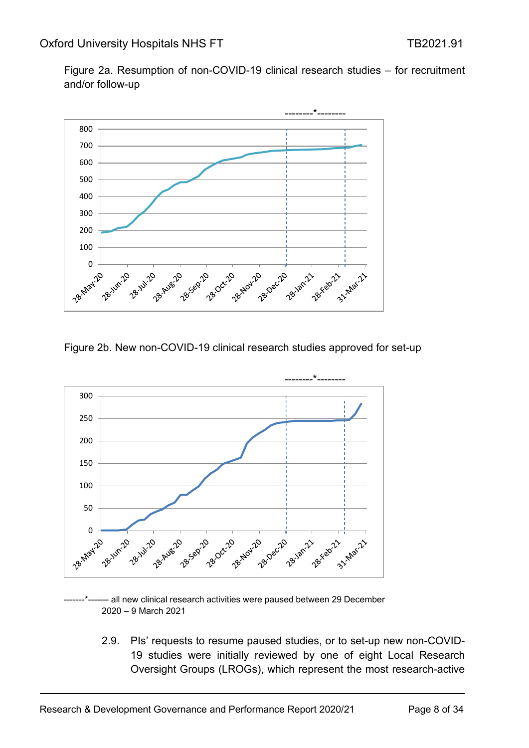Figure 2a. Resumption of non-COVID-19 clinical research studies – for recruitment and/or follow-up



Figure 2b. New non-COVID-19 clinical research studies approved for set-up



- all new clinical research activities were paused between 29 December – 9 March 2021

2.9. PIs' requests to resume paused studies, or to set-up new non-COVID- studies were initially reviewed by one of eight Local Research Oversight Groups (LROGs), which represent the most research-active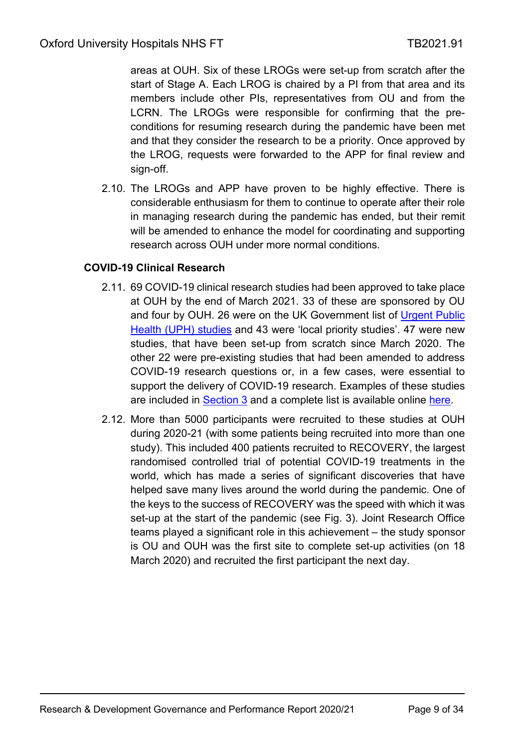areas at OUH. Six of these LROGs were set-up from scratch after the start of Stage A. Each LROG is chaired by a PI from that area and its members include other PIs, representatives from OU and from the LCRN. The LROGs were responsible for confirming that the preconditions for resuming research during the pandemic have been met and that they consider the research to be a priority. Once approved by the LROG, requests were forwarded to the APP for final review and sign-off.

2.10. The LROGs and APP have proven to be highly effective. There is considerable enthusiasm for them to continue to operate after their role in managing research during the pandemic has ended, but their remit will be amended to enhance the model for coordinating and supporting research across OUH under more normal conditions.

### <span id="page-8-0"></span>**COVID-19 Clinical Research**

- 2.11. 69 COVID-19 clinical research studies had been approved to take place at OUH by the end of March 2021. 33 of these are sponsored by OU and four by OUH. 26 were on the UK Government list of [Urgent Public](https://www.nihr.ac.uk/covid-studies/)  [Health \(UPH\) studies](https://www.nihr.ac.uk/covid-studies/) and 43 were 'local priority studies'. 47 were new studies, that have been set-up from scratch since March 2020. The other 22 were pre-existing studies that had been amended to address COVID-19 research questions or, in a few cases, were essential to support the delivery of COVID-19 research. Examples of these studies are included in [Section 3](#page-10-0) and a complete list is available online [here.](https://www.ouh.nhs.uk/research/projects/covid-19/documents/oxford-summary-covid-19-studies.pdf)
- 2.12. More than 5000 participants were recruited to these studies at OUH during 2020-21 (with some patients being recruited into more than one study). This included 400 patients recruited to RECOVERY, the largest randomised controlled trial of potential COVID-19 treatments in the world, which has made a series of significant discoveries that have helped save many lives around the world during the pandemic. One of the keys to the success of RECOVERY was the speed with which it was set-up at the start of the pandemic (see Fig. 3). Joint Research Office teams played a significant role in this achievement – the study sponsor is OU and OUH was the first site to complete set-up activities (on 18 March 2020) and recruited the first participant the next day.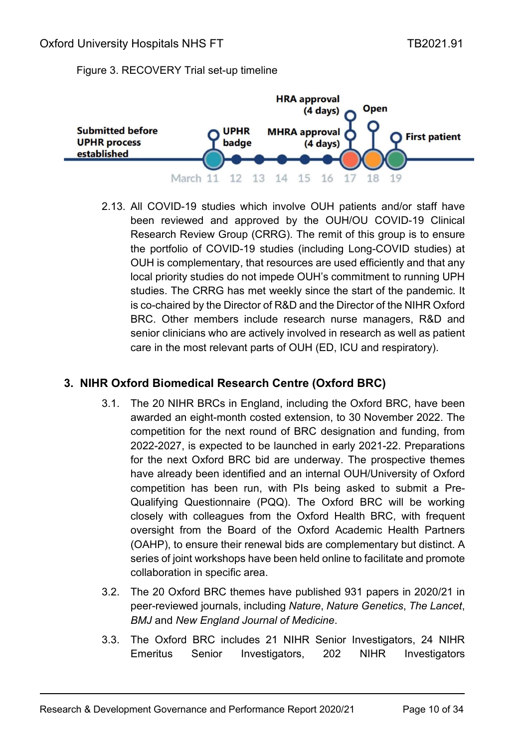#### Figure 3. RECOVERY Trial set-up timeline



2.13. All COVID-19 studies which involve OUH patients and/or staff have been reviewed and approved by the OUH/OU COVID-19 Clinical Research Review Group (CRRG). The remit of this group is to ensure the portfolio of COVID-19 studies (including Long-COVID studies) at OUH is complementary, that resources are used efficiently and that any local priority studies do not impede OUH's commitment to running UPH studies. The CRRG has met weekly since the start of the pandemic. It is co-chaired by the Director of R&D and the Director of the NIHR Oxford BRC. Other members include research nurse managers, R&D and senior clinicians who are actively involved in research as well as patient care in the most relevant parts of OUH (ED, ICU and respiratory).

### <span id="page-9-0"></span>**3. NIHR Oxford Biomedical Research Centre (Oxford BRC)**

- 3.1. The 20 NIHR BRCs in England, including the Oxford BRC, have been awarded an eight-month costed extension, to 30 November 2022. The competition for the next round of BRC designation and funding, from 2022-2027, is expected to be launched in early 2021-22. Preparations for the next Oxford BRC bid are underway. The prospective themes have already been identified and an internal OUH/University of Oxford competition has been run, with PIs being asked to submit a Pre-Qualifying Questionnaire (PQQ). The Oxford BRC will be working closely with colleagues from the Oxford Health BRC, with frequent oversight from the Board of the Oxford Academic Health Partners (OAHP), to ensure their renewal bids are complementary but distinct. A series of joint workshops have been held online to facilitate and promote collaboration in specific area.
- 3.2. The 20 Oxford BRC themes have published 931 papers in 2020/21 in peer-reviewed journals, including *Nature*, *Nature Genetics*, *The Lancet*, *BMJ* and *New England Journal of Medicine*.
- 3.3. The Oxford BRC includes 21 NIHR Senior Investigators, 24 NIHR Emeritus Senior Investigators, 202 NIHR Investigators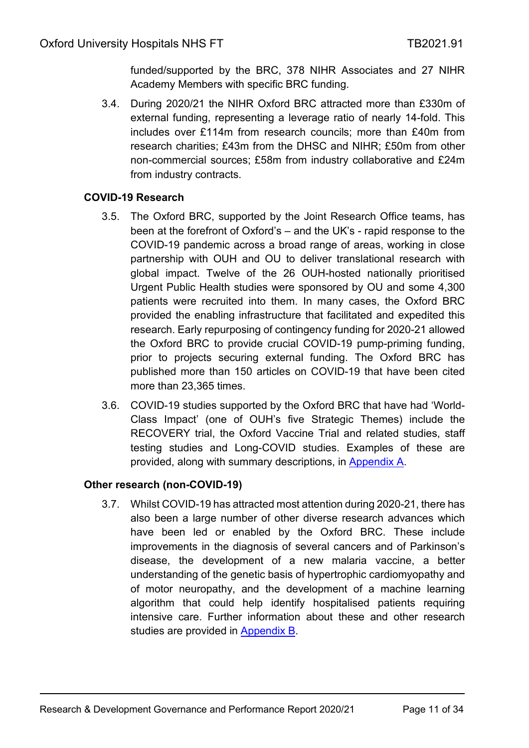funded/supported by the BRC, 378 NIHR Associates and 27 NIHR Academy Members with specific BRC funding.

3.4. During 2020/21 the NIHR Oxford BRC attracted more than £330m of external funding, representing a leverage ratio of nearly 14-fold. This includes over £114m from research councils; more than £40m from research charities; £43m from the DHSC and NIHR; £50m from other non-commercial sources; £58m from industry collaborative and £24m from industry contracts.

## <span id="page-10-0"></span>**COVID-19 Research**

- 3.5. The Oxford BRC, supported by the Joint Research Office teams, has been at the forefront of Oxford's – and the UK's - rapid response to the COVID-19 pandemic across a broad range of areas, working in close partnership with OUH and OU to deliver translational research with global impact. Twelve of the 26 OUH-hosted nationally prioritised Urgent Public Health studies were sponsored by OU and some 4,300 patients were recruited into them. In many cases, the Oxford BRC provided the enabling infrastructure that facilitated and expedited this research. Early repurposing of contingency funding for 2020-21 allowed the Oxford BRC to provide crucial COVID-19 pump-priming funding, prior to projects securing external funding. The Oxford BRC has published more than 150 articles on COVID-19 that have been cited more than 23,365 times.
- 3.6. COVID-19 studies supported by the Oxford BRC that have had 'World-Class Impact' (one of OUH's five Strategic Themes) include the RECOVERY trial, the Oxford Vaccine Trial and related studies, staff testing studies and Long-COVID studies. Examples of these are provided, along with summary descriptions, in [Appendix A.](#page-24-0)

### <span id="page-10-1"></span>**Other research (non-COVID-19)**

3.7. Whilst COVID-19 has attracted most attention during 2020-21, there has also been a large number of other diverse research advances which have been led or enabled by the Oxford BRC. These include improvements in the diagnosis of several cancers and of Parkinson's disease, the development of a new malaria vaccine, a better understanding of the genetic basis of hypertrophic cardiomyopathy and of motor neuropathy, and the development of a machine learning algorithm that could help identify hospitalised patients requiring intensive care. Further information about these and other research studies are provided in [Appendix B.](#page-31-0)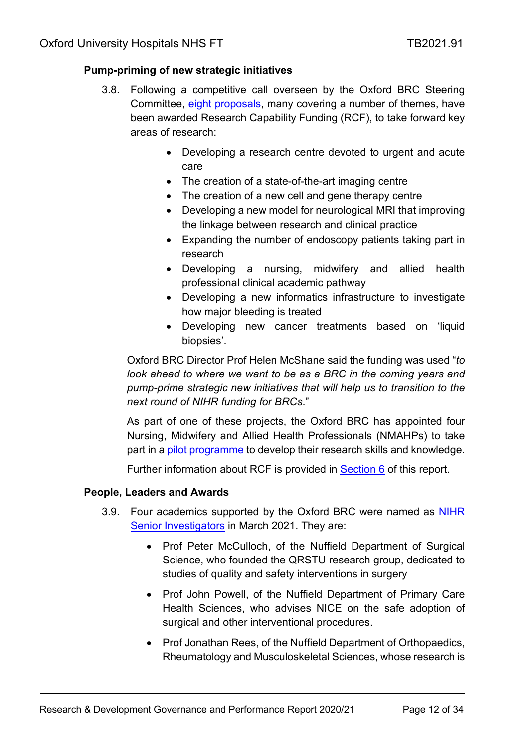### <span id="page-11-2"></span><span id="page-11-0"></span>**[Pump-priming of new strategic initiatives](https://oxfordbrc.nihr.ac.uk/eight-brc-projects-get-rcf-funding/)**

- 3.8. Following a competitive call overseen by the Oxford BRC Steering Committee, [eight proposals,](https://oxfordbrc.nihr.ac.uk/eight-brc-projects-get-rcf-funding/) many covering a number of themes, have been awarded Research Capability Funding (RCF), to take forward key areas of research:
	- Developing a research centre devoted to urgent and acute care
	- The creation of a state-of-the-art imaging centre
	- The creation of a new cell and gene therapy centre
	- Developing a new model for neurological MRI that improving the linkage between research and clinical practice
	- Expanding the number of endoscopy patients taking part in research
	- Developing a nursing, midwifery and allied health professional clinical academic pathway
	- Developing a new informatics infrastructure to investigate how major bleeding is treated
	- Developing new cancer treatments based on 'liquid biopsies'.

Oxford BRC Director Prof Helen McShane said the funding was used "*to look ahead to where we want to be as a BRC in the coming years and pump-prime strategic new initiatives that will help us to transition to the next round of NIHR funding for BRCs*."

As part of one of these projects, the Oxford BRC has appointed four Nursing, Midwifery and Allied Health Professionals (NMAHPs) to take part in a [pilot programme](https://oxfordbrc.nihr.ac.uk/nursing-midwifery-and-allied-health-professionals-appointed-to-new-research-training-programme/) to develop their research skills and knowledge.

Further information about RCF is provided in [Section](#page-19-0) 6 of this report.

### <span id="page-11-1"></span>**People, Leaders and Awards**

- 3.9. Four academics supported by the Oxford BRC were named as NIHR [Senior Investigators](https://oxfordbrc.nihr.ac.uk/oxford-academics-named-nihr-senior-investigators/) in March 2021. They are:
	- Prof Peter McCulloch, of the Nuffield Department of Surgical Science, who founded the QRSTU research group, dedicated to studies of quality and safety interventions in surgery
	- Prof John Powell, of the Nuffield Department of Primary Care Health Sciences, who advises NICE on the safe adoption of surgical and other interventional procedures.
	- Prof Jonathan Rees, of the Nuffield Department of Orthopaedics, Rheumatology and Musculoskeletal Sciences, whose research is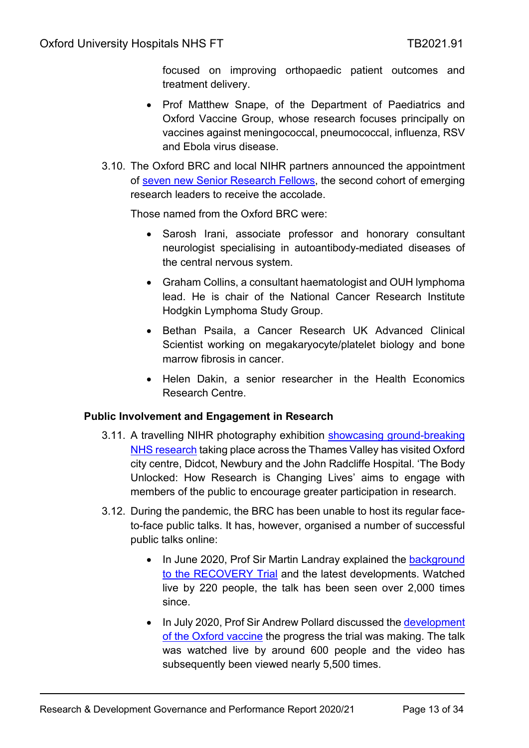focused on improving orthopaedic patient outcomes and treatment delivery.

- Prof Matthew Snape, of the Department of Paediatrics and Oxford Vaccine Group, whose research focuses principally on vaccines against meningococcal, pneumococcal, influenza, RSV and Ebola virus disease.
- 3.10. The Oxford BRC and local NIHR partners announced the appointment of [seven new Senior Research Fellows,](https://oxfordbrc.nihr.ac.uk/seven-new-senior-fellows-named/) the second cohort of emerging research leaders to receive the accolade.

Those named from the Oxford BRC were:

- Sarosh Irani, associate professor and honorary consultant neurologist specialising in autoantibody-mediated diseases of the central nervous system.
- Graham Collins, a consultant haematologist and OUH lymphoma lead. He is chair of the National Cancer Research Institute Hodgkin Lymphoma Study Group.
- Bethan Psaila, a Cancer Research UK Advanced Clinical Scientist working on megakaryocyte/platelet biology and bone marrow fibrosis in cancer.
- Helen Dakin, a senior researcher in the Health Economics Research Centre.

## <span id="page-12-0"></span>**Public Involvement and Engagement in Research**

- 3.11. A travelling NIHR photography exhibition [showcasing ground-breaking](https://oxfordbrc.nihr.ac.uk/research-photography-exhibition-moves-to-didcot/)  [NHS research](https://oxfordbrc.nihr.ac.uk/research-photography-exhibition-moves-to-didcot/) taking place across the Thames Valley has visited Oxford city centre, Didcot, Newbury and the John Radcliffe Hospital. 'The Body Unlocked: How Research is Changing Lives' aims to engage with members of the public to encourage greater participation in research.
- 3.12. During the pandemic, the BRC has been unable to host its regular faceto-face public talks. It has, however, organised a number of successful public talks online:
	- In June 2020, Prof Sir Martin Landray explained the background [to the RECOVERY Trial](https://www.youtube.com/watch?v=llf3R6GqeIQ) and the latest developments. Watched live by 220 people, the talk has been seen over 2,000 times since.
	- In July 2020, Prof Sir Andrew Pollard discussed the [development](https://www.youtube.com/watch?app=desktop&v=ISIt0pC5Vio)  [of the Oxford](https://www.youtube.com/watch?app=desktop&v=ISIt0pC5Vio) vaccine the progress the trial was making. The talk was watched live by around 600 people and the video has subsequently been viewed nearly 5,500 times.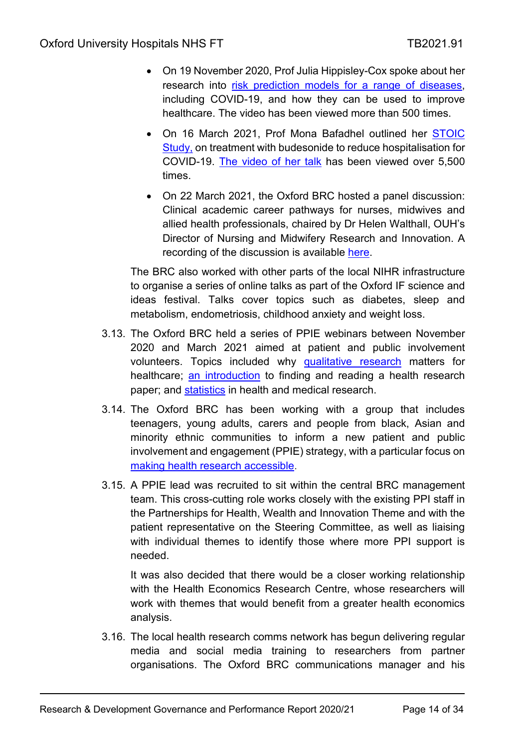- On 19 November 2020, Prof Julia Hippisley-Cox spoke about her research into [risk prediction models for a range of diseases,](https://www.youtube.com/watch?app=desktop&v=2fuc_mjckOY) including COVID-19, and how they can be used to improve healthcare. The video has been viewed more than 500 times.
- On 16 March 2021, Prof Mona Bafadhel outlined her STOIC [Study,](https://oxfordbrc.nihr.ac.uk/common-asthma-treatment-reduces-need-for-hospitalisation-in-covid-19-patients-study-suggests/?highlight=budesonide%20Bafadhel) on treatment with budesonide to reduce hospitalisation for COVID-19. [The video of her talk](https://www.youtube.com/watch?app=desktop&v=cEJsKeHobMU) has been viewed over 5,500 times.
- On 22 March 2021, the Oxford BRC hosted a panel discussion: Clinical academic career pathways for nurses, midwives and allied health professionals, chaired by Dr Helen Walthall, OUH's Director of Nursing and Midwifery Research and Innovation. A recording of the discussion is available [here.](https://www.youtube.com/watch?app=desktop&v=NjtlvbJ_MZI)

The BRC also worked with other parts of the local NIHR infrastructure to organise a series of online talks as part of the Oxford IF science and ideas festival. Talks cover topics such as diabetes, sleep and metabolism, endometriosis, childhood anxiety and weight loss.

- 3.13. The Oxford BRC held a series of PPIE webinars between November 2020 and March 2021 aimed at patient and public involvement volunteers. Topics included why [qualitative research](https://www.youtube.com/watch?app=desktop&v=LN9ZGItvPRE) matters for healthcare; [an introduction](https://www.youtube.com/watch?app=desktop&v=syeTE10H73w) to finding and reading a health research paper; and [statistics](https://www.youtube.com/watch?app=desktop&v=Y2EntiTLq_k) in health and medical research.
- 3.14. The Oxford BRC has been working with a group that includes teenagers, young adults, carers and people from black, Asian and minority ethnic communities to inform a new patient and public involvement and engagement (PPIE) strategy, with a particular focus on [making health research accessible.](https://oxfordbrc.nihr.ac.uk/getting-involved-with-the-oxford-biomedical-research-centre/)
- 3.15. A PPIE lead was recruited to sit within the central BRC management team. This cross-cutting role works closely with the existing PPI staff in the Partnerships for Health, Wealth and Innovation Theme and with the patient representative on the Steering Committee, as well as liaising with individual themes to identify those where more PPI support is needed.

It was also decided that there would be a closer working relationship with the Health Economics Research Centre, whose researchers will work with themes that would benefit from a greater health economics analysis.

3.16. The local health research comms network has begun delivering regular media and social media training to researchers from partner organisations. The Oxford BRC communications manager and his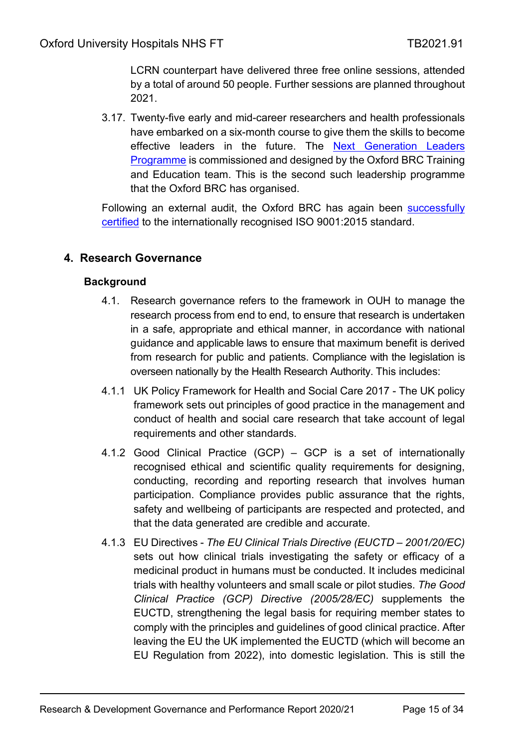LCRN counterpart have delivered three free online sessions, attended by a total of around 50 people. Further sessions are planned throughout 2021.

3.17. Twenty-five early and mid-career researchers and health professionals have embarked on a six-month course to give them the skills to become effective leaders in the future. The Next Generation Leaders [Programme](https://oxfordbrc.nihr.ac.uk/brc-training-course-prepares-future-healthcare-research-leaders/) is commissioned and designed by the Oxford BRC Training and Education team. This is the second such leadership programme that the Oxford BRC has organised.

Following an external audit, the Oxford BRC has again been successfully [certified](https://oxfordbrc.nihr.ac.uk/oxford-brc-again-achieves-iso-9001-audit-success/) to the internationally recognised ISO 9001:2015 standard.

## <span id="page-14-1"></span><span id="page-14-0"></span>**4. Research Governance**

### **Background**

- 4.1. Research governance refers to the framework in OUH to manage the research process from end to end, to ensure that research is undertaken in a safe, appropriate and ethical manner, in accordance with national guidance and applicable laws to ensure that maximum benefit is derived from research for public and patients. Compliance with the legislation is overseen nationally by the Health Research Authority. This includes:
- 4.1.1 UK Policy Framework for Health and Social Care 2017 The UK policy framework sets out principles of good practice in the management and conduct of health and social care research that take account of legal requirements and other standards.
- 4.1.2 Good Clinical Practice (GCP) GCP is a set of internationally recognised ethical and scientific quality requirements for designing, conducting, recording and reporting research that involves human participation. Compliance provides public assurance that the rights, safety and wellbeing of participants are respected and protected, and that the data generated are credible and accurate.
- 4.1.3 EU Directives *The EU Clinical Trials Directive (EUCTD – 2001/20/EC)*  sets out how clinical trials investigating the safety or efficacy of a medicinal product in humans must be conducted. It includes medicinal trials with healthy volunteers and small scale or pilot studies. *The Good Clinical Practice (GCP) Directive (2005/28/EC)* supplements the EUCTD, strengthening the legal basis for requiring member states to comply with the principles and guidelines of good clinical practice. After leaving the EU the UK implemented the EUCTD (which will become an EU Regulation from 2022), into domestic legislation. This is still the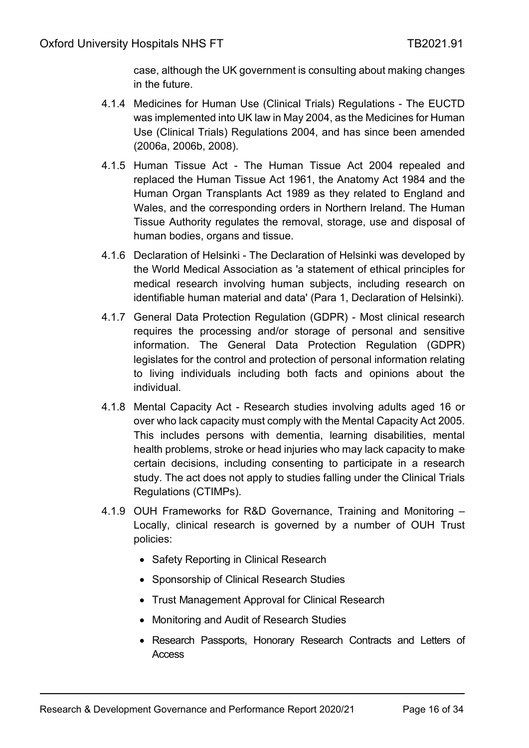case, although the UK government is consulting about making changes in the future.

- 4.1.4 Medicines for Human Use (Clinical Trials) Regulations The EUCTD was implemented into UK law in May 2004, as the Medicines for Human Use (Clinical Trials) Regulations 2004, and has since been amended (2006a, 2006b, 2008).
- 4.1.5 Human Tissue Act The Human Tissue Act 2004 repealed and replaced the Human Tissue Act 1961, the Anatomy Act 1984 and the Human Organ Transplants Act 1989 as they related to England and Wales, and the corresponding orders in Northern Ireland. The Human Tissue Authority regulates the removal, storage, use and disposal of human bodies, organs and tissue.
- 4.1.6 Declaration of Helsinki The Declaration of Helsinki was developed by the World Medical Association as 'a statement of ethical principles for medical research involving human subjects, including research on identifiable human material and data' (Para 1, Declaration of Helsinki).
- 4.1.7 General Data Protection Regulation (GDPR) Most clinical research requires the processing and/or storage of personal and sensitive information. The General Data Protection Regulation (GDPR) legislates for the control and protection of personal information relating to living individuals including both facts and opinions about the individual.
- 4.1.8 Mental Capacity Act Research studies involving adults aged 16 or over who lack capacity must comply with the Mental Capacity Act 2005. This includes persons with dementia, learning disabilities, mental health problems, stroke or head injuries who may lack capacity to make certain decisions, including consenting to participate in a research study. The act does not apply to studies falling under the Clinical Trials Regulations (CTIMPs).
- 4.1.9 OUH Frameworks for R&D Governance, Training and Monitoring Locally, clinical research is governed by a number of OUH Trust policies:
	- Safety Reporting in Clinical Research
	- Sponsorship of Clinical Research Studies
	- Trust Management Approval for Clinical Research
	- Monitoring and Audit of Research Studies
	- Research Passports, Honorary Research Contracts and Letters of Access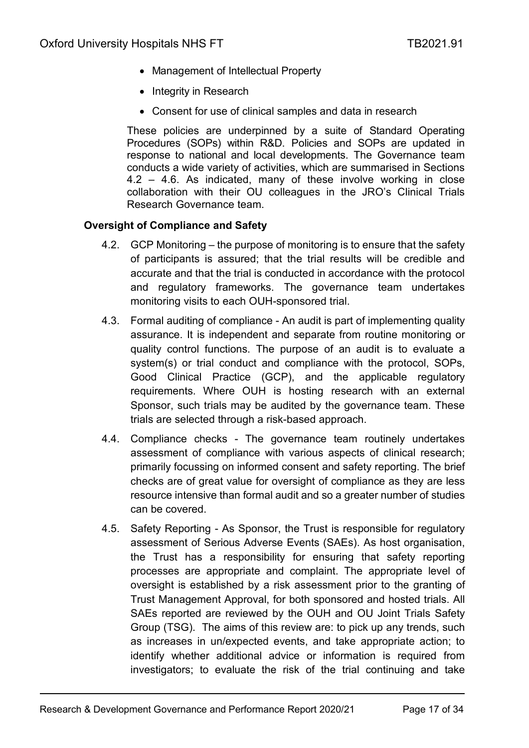- Management of Intellectual Property
- Integrity in Research
- Consent for use of clinical samples and data in research

These policies are underpinned by a suite of Standard Operating Procedures (SOPs) within R&D. Policies and SOPs are updated in response to national and local developments. The Governance team conducts a wide variety of activities, which are summarised in Sections 4.2 – 4.6. As indicated, many of these involve working in close collaboration with their OU colleagues in the JRO's Clinical Trials Research Governance team.

#### <span id="page-16-0"></span>**Oversight of Compliance and Safety**

- 4.2. GCP Monitoring the purpose of monitoring is to ensure that the safety of participants is assured; that the trial results will be credible and accurate and that the trial is conducted in accordance with the protocol and regulatory frameworks. The governance team undertakes monitoring visits to each OUH-sponsored trial.
- 4.3. Formal auditing of compliance An audit is part of implementing quality assurance. It is independent and separate from routine monitoring or quality control functions. The purpose of an audit is to evaluate a system(s) or trial conduct and compliance with the protocol, SOPs, Good Clinical Practice (GCP), and the applicable regulatory requirements. Where OUH is hosting research with an external Sponsor, such trials may be audited by the governance team. These trials are selected through a risk-based approach.
- 4.4. Compliance checks The governance team routinely undertakes assessment of compliance with various aspects of clinical research; primarily focussing on informed consent and safety reporting. The brief checks are of great value for oversight of compliance as they are less resource intensive than formal audit and so a greater number of studies can be covered.
- 4.5. Safety Reporting As Sponsor, the Trust is responsible for regulatory assessment of Serious Adverse Events (SAEs). As host organisation, the Trust has a responsibility for ensuring that safety reporting processes are appropriate and complaint. The appropriate level of oversight is established by a risk assessment prior to the granting of Trust Management Approval, for both sponsored and hosted trials. All SAEs reported are reviewed by the OUH and OU Joint Trials Safety Group (TSG). The aims of this review are: to pick up any trends, such as increases in un/expected events, and take appropriate action; to identify whether additional advice or information is required from investigators; to evaluate the risk of the trial continuing and take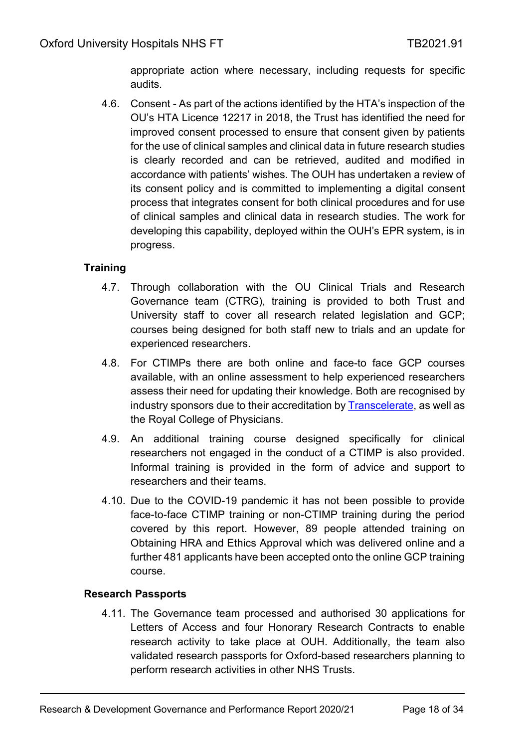appropriate action where necessary, including requests for specific audits.

4.6. Consent - As part of the actions identified by the HTA's inspection of the OU's HTA Licence 12217 in 2018, the Trust has identified the need for improved consent processed to ensure that consent given by patients for the use of clinical samples and clinical data in future research studies is clearly recorded and can be retrieved, audited and modified in accordance with patients' wishes. The OUH has undertaken a review of its consent policy and is committed to implementing a digital consent process that integrates consent for both clinical procedures and for use of clinical samples and clinical data in research studies. The work for developing this capability, deployed within the OUH's EPR system, is in progress.

## <span id="page-17-0"></span>**Training**

- 4.7. Through collaboration with the OU Clinical Trials and Research Governance team (CTRG), training is provided to both Trust and University staff to cover all research related legislation and GCP; courses being designed for both staff new to trials and an update for experienced researchers.
- 4.8. For CTIMPs there are both online and face-to face GCP courses available, with an online assessment to help experienced researchers assess their need for updating their knowledge. Both are recognised by industry sponsors due to their accreditation by [Transcelerate,](https://www.transceleratebiopharmainc.com/) as well as the Royal College of Physicians.
- 4.9. An additional training course designed specifically for clinical researchers not engaged in the conduct of a CTIMP is also provided. Informal training is provided in the form of advice and support to researchers and their teams.
- 4.10. Due to the COVID-19 pandemic it has not been possible to provide face-to-face CTIMP training or non-CTIMP training during the period covered by this report. However, 89 people attended training on Obtaining HRA and Ethics Approval which was delivered online and a further 481 applicants have been accepted onto the online GCP training course.

### <span id="page-17-1"></span>**Research Passports**

4.11. The Governance team processed and authorised 30 applications for Letters of Access and four Honorary Research Contracts to enable research activity to take place at OUH. Additionally, the team also validated research passports for Oxford-based researchers planning to perform research activities in other NHS Trusts.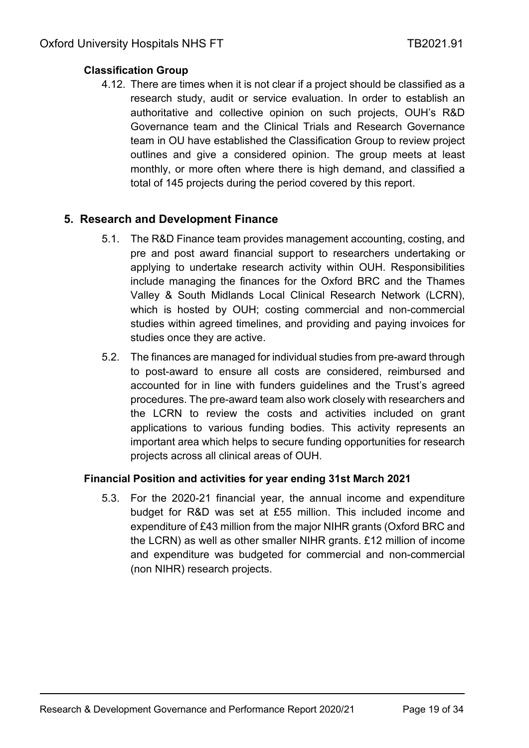### <span id="page-18-0"></span>**Classification Group**

4.12. There are times when it is not clear if a project should be classified as a research study, audit or service evaluation. In order to establish an authoritative and collective opinion on such projects, OUH's R&D Governance team and the Clinical Trials and Research Governance team in OU have established the Classification Group to review project outlines and give a considered opinion. The group meets at least monthly, or more often where there is high demand, and classified a total of 145 projects during the period covered by this report.

### <span id="page-18-1"></span>**5. Research and Development Finance**

- 5.1. The R&D Finance team provides management accounting, costing, and pre and post award financial support to researchers undertaking or applying to undertake research activity within OUH. Responsibilities include managing the finances for the Oxford BRC and the Thames Valley & South Midlands Local Clinical Research Network (LCRN), which is hosted by OUH; costing commercial and non-commercial studies within agreed timelines, and providing and paying invoices for studies once they are active.
- 5.2. The finances are managed for individual studies from pre-award through to post-award to ensure all costs are considered, reimbursed and accounted for in line with funders guidelines and the Trust's agreed procedures. The pre-award team also work closely with researchers and the LCRN to review the costs and activities included on grant applications to various funding bodies. This activity represents an important area which helps to secure funding opportunities for research projects across all clinical areas of OUH.

### <span id="page-18-2"></span>**Financial Position and activities for year ending 31st March 2021**

5.3. For the 2020-21 financial year, the annual income and expenditure budget for R&D was set at £55 million. This included income and expenditure of £43 million from the major NIHR grants (Oxford BRC and the LCRN) as well as other smaller NIHR grants. £12 million of income and expenditure was budgeted for commercial and non-commercial (non NIHR) research projects.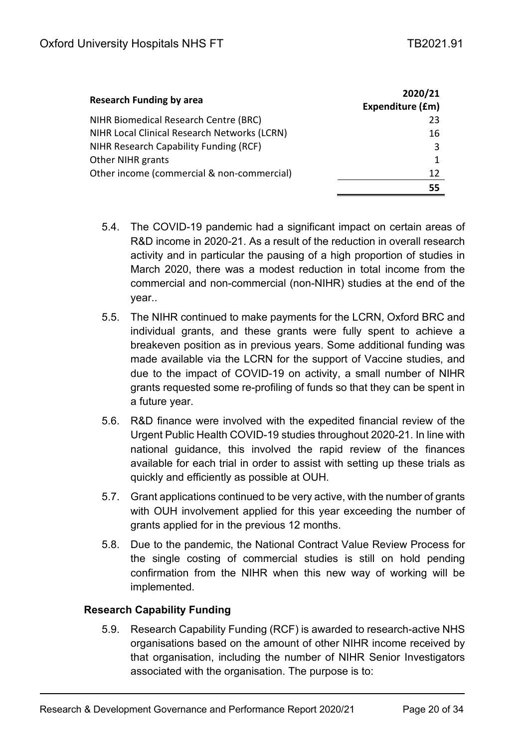| <b>Research Funding by area</b>              | 2020/21<br>Expenditure (£m) |
|----------------------------------------------|-----------------------------|
| NIHR Biomedical Research Centre (BRC)        | 23                          |
| NIHR Local Clinical Research Networks (LCRN) | 16                          |
| NIHR Research Capability Funding (RCF)       | 3                           |
| <b>Other NIHR grants</b>                     | 1                           |
| Other income (commercial & non-commercial)   | 12                          |
|                                              | 55                          |

- 5.4. The COVID-19 pandemic had a significant impact on certain areas of R&D income in 2020-21. As a result of the reduction in overall research activity and in particular the pausing of a high proportion of studies in March 2020, there was a modest reduction in total income from the commercial and non-commercial (non-NIHR) studies at the end of the year..
- 5.5. The NIHR continued to make payments for the LCRN, Oxford BRC and individual grants, and these grants were fully spent to achieve a breakeven position as in previous years. Some additional funding was made available via the LCRN for the support of Vaccine studies, and due to the impact of COVID-19 on activity, a small number of NIHR grants requested some re-profiling of funds so that they can be spent in a future year.
- 5.6. R&D finance were involved with the expedited financial review of the Urgent Public Health COVID-19 studies throughout 2020-21. In line with national guidance, this involved the rapid review of the finances available for each trial in order to assist with setting up these trials as quickly and efficiently as possible at OUH.
- 5.7. Grant applications continued to be very active, with the number of grants with OUH involvement applied for this year exceeding the number of grants applied for in the previous 12 months.
- 5.8. Due to the pandemic, the National Contract Value Review Process for the single costing of commercial studies is still on hold pending confirmation from the NIHR when this new way of working will be implemented.

### <span id="page-19-0"></span>**Research Capability Funding**

5.9. Research Capability Funding (RCF) is awarded to research-active NHS organisations based on the amount of other NIHR income received by that organisation, including the number of NIHR Senior Investigators associated with the organisation. The purpose is to: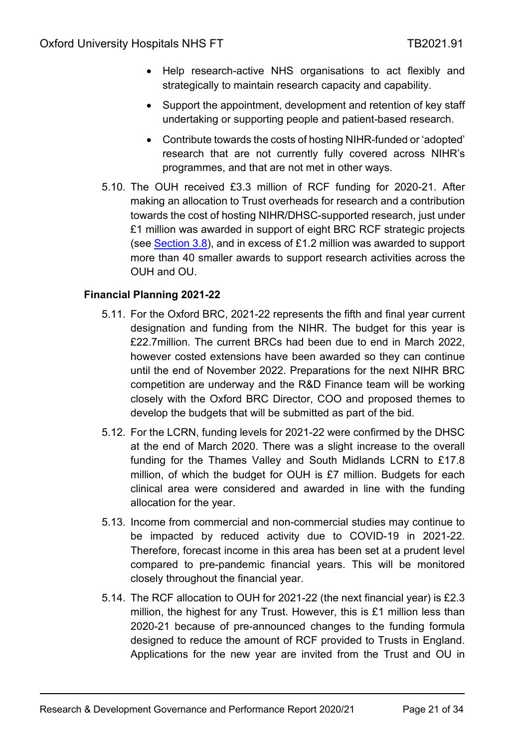- Help research-active NHS organisations to act flexibly and strategically to maintain research capacity and capability.
- Support the appointment, development and retention of key staff undertaking or supporting people and patient-based research.
- Contribute towards the costs of hosting NIHR-funded or 'adopted' research that are not currently fully covered across NIHR's programmes, and that are not met in other ways.
- 5.10. The OUH received £3.3 million of RCF funding for 2020-21. After making an allocation to Trust overheads for research and a contribution towards the cost of hosting NIHR/DHSC-supported research, just under £1 million was awarded in support of eight BRC RCF strategic projects (see [Section](#page-11-2) 3.8), and in excess of £1.2 million was awarded to support more than 40 smaller awards to support research activities across the OUH and OU.

### <span id="page-20-0"></span>**Financial Planning 2021-22**

- 5.11. For the Oxford BRC, 2021-22 represents the fifth and final year current designation and funding from the NIHR. The budget for this year is £22.7million. The current BRCs had been due to end in March 2022, however costed extensions have been awarded so they can continue until the end of November 2022. Preparations for the next NIHR BRC competition are underway and the R&D Finance team will be working closely with the Oxford BRC Director, COO and proposed themes to develop the budgets that will be submitted as part of the bid.
- 5.12. For the LCRN, funding levels for 2021-22 were confirmed by the DHSC at the end of March 2020. There was a slight increase to the overall funding for the Thames Valley and South Midlands LCRN to £17.8 million, of which the budget for OUH is £7 million. Budgets for each clinical area were considered and awarded in line with the funding allocation for the year.
- 5.13. Income from commercial and non-commercial studies may continue to be impacted by reduced activity due to COVID-19 in 2021-22. Therefore, forecast income in this area has been set at a prudent level compared to pre-pandemic financial years. This will be monitored closely throughout the financial year.
- 5.14. The RCF allocation to OUH for 2021-22 (the next financial year) is £2.3 million, the highest for any Trust. However, this is £1 million less than 2020-21 because of pre-announced changes to the funding formula designed to reduce the amount of RCF provided to Trusts in England. Applications for the new year are invited from the Trust and OU in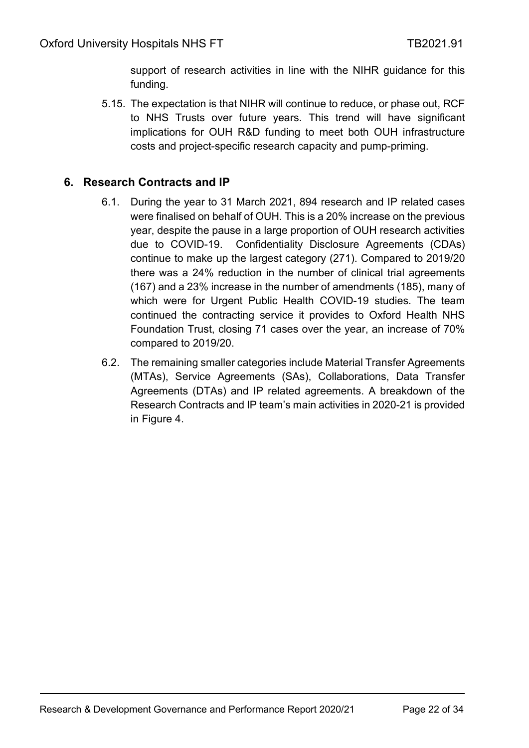support of research activities in line with the NIHR guidance for this funding.

5.15. The expectation is that NIHR will continue to reduce, or phase out, RCF to NHS Trusts over future years. This trend will have significant implications for OUH R&D funding to meet both OUH infrastructure costs and project-specific research capacity and pump-priming.

### <span id="page-21-0"></span>**6. Research Contracts and IP**

- 6.1. During the year to 31 March 2021, 894 research and IP related cases were finalised on behalf of OUH. This is a 20% increase on the previous year, despite the pause in a large proportion of OUH research activities due to COVID-19. Confidentiality Disclosure Agreements (CDAs) continue to make up the largest category (271). Compared to 2019/20 there was a 24% reduction in the number of clinical trial agreements (167) and a 23% increase in the number of amendments (185), many of which were for Urgent Public Health COVID-19 studies. The team continued the contracting service it provides to Oxford Health NHS Foundation Trust, closing 71 cases over the year, an increase of 70% compared to 2019/20.
- 6.2. The remaining smaller categories include Material Transfer Agreements (MTAs), Service Agreements (SAs), Collaborations, Data Transfer Agreements (DTAs) and IP related agreements. A breakdown of the Research Contracts and IP team's main activities in 2020-21 is provided in Figure 4.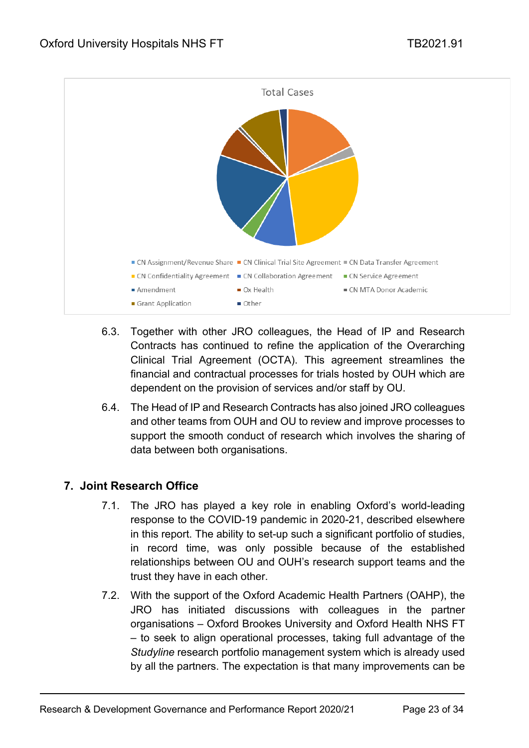

- 6.3. Together with other JRO colleagues, the Head of IP and Research Contracts has continued to refine the application of the Overarching Clinical Trial Agreement (OCTA). This agreement streamlines the financial and contractual processes for trials hosted by OUH which are dependent on the provision of services and/or staff by OU.
- 6.4. The Head of IP and Research Contracts has also joined JRO colleagues and other teams from OUH and OU to review and improve processes to support the smooth conduct of research which involves the sharing of data between both organisations.

# <span id="page-22-0"></span>**7. Joint Research Office**

- 7.1. The JRO has played a key role in enabling Oxford's world-leading response to the COVID-19 pandemic in 2020-21, described elsewhere in this report. The ability to set-up such a significant portfolio of studies, in record time, was only possible because of the established relationships between OU and OUH's research support teams and the trust they have in each other.
- 7.2. With the support of the Oxford Academic Health Partners (OAHP), the JRO has initiated discussions with colleagues in the partner organisations – Oxford Brookes University and Oxford Health NHS FT – to seek to align operational processes, taking full advantage of the *Studyline* research portfolio management system which is already used by all the partners. The expectation is that many improvements can be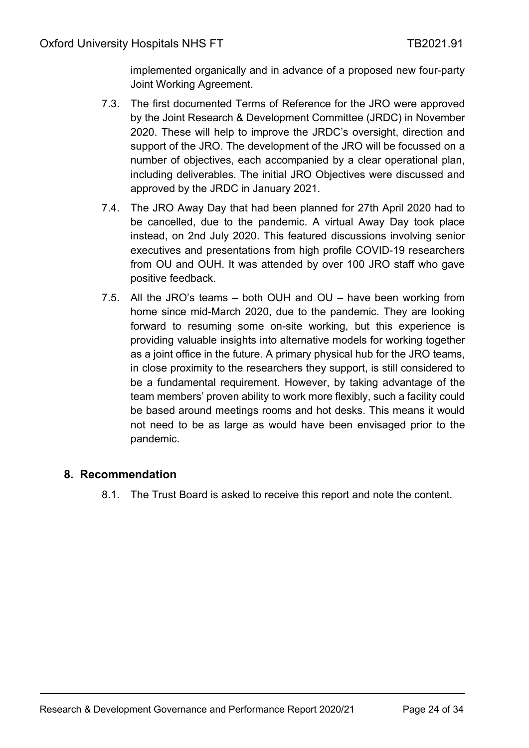implemented organically and in advance of a proposed new four-party Joint Working Agreement.

- 7.3. The first documented Terms of Reference for the JRO were approved by the Joint Research & Development Committee (JRDC) in November 2020. These will help to improve the JRDC's oversight, direction and support of the JRO. The development of the JRO will be focussed on a number of objectives, each accompanied by a clear operational plan, including deliverables. The initial JRO Objectives were discussed and approved by the JRDC in January 2021.
- 7.4. The JRO Away Day that had been planned for 27th April 2020 had to be cancelled, due to the pandemic. A virtual Away Day took place instead, on 2nd July 2020. This featured discussions involving senior executives and presentations from high profile COVID-19 researchers from OU and OUH. It was attended by over 100 JRO staff who gave positive feedback.
- 7.5. All the JRO's teams both OUH and OU have been working from home since mid-March 2020, due to the pandemic. They are looking forward to resuming some on-site working, but this experience is providing valuable insights into alternative models for working together as a joint office in the future. A primary physical hub for the JRO teams, in close proximity to the researchers they support, is still considered to be a fundamental requirement. However, by taking advantage of the team members' proven ability to work more flexibly, such a facility could be based around meetings rooms and hot desks. This means it would not need to be as large as would have been envisaged prior to the pandemic.

## <span id="page-23-0"></span>**8. Recommendation**

8.1. The Trust Board is asked to receive this report and note the content.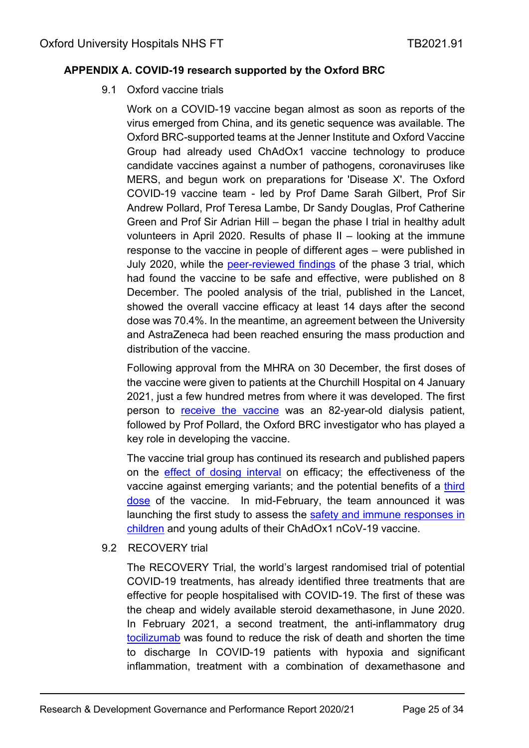### <span id="page-24-0"></span>**APPENDIX A. COVID-19 research supported by the Oxford BRC**

9.1 Oxford vaccine trials

Work on a COVID-19 vaccine began almost as soon as reports of the virus emerged from China, and its genetic sequence was available. The Oxford BRC-supported teams at the Jenner Institute and Oxford Vaccine Group had already used ChAdOx1 vaccine technology to produce candidate vaccines against a number of pathogens, coronaviruses like MERS, and begun work on preparations for 'Disease X'. The Oxford COVID-19 vaccine team - led by Prof Dame Sarah Gilbert, Prof Sir Andrew Pollard, Prof Teresa Lambe, Dr Sandy Douglas, Prof Catherine Green and Prof Sir Adrian Hill – began the phase I trial in healthy adult volunteers in April 2020. Results of phase II – looking at the immune response to the vaccine in people of different ages – were published in July 2020, while the [peer-reviewed findings](https://oxfordbrc.nihr.ac.uk/peer-reviewed-results-of-phase-3-oxford-coronavirus-vaccine-trial-demonstrate-efficacy/) of the phase 3 trial, which had found the vaccine to be safe and effective, were published on 8 December. The pooled analysis of the trial, published in the Lancet, showed the overall vaccine efficacy at least 14 days after the second dose was 70.4%. In the meantime, an agreement between the University and AstraZeneca had been reached ensuring the mass production and distribution of the vaccine.

Following approval from the MHRA on 30 December, the first doses of the vaccine were given to patients at the Churchill Hospital on 4 January 2021, just a few hundred metres from where it was developed. The first person to [receive the vaccine](https://oxfordbrc.nihr.ac.uk/oxford-covid-19-vaccinations-begin/) was an 82-year-old dialysis patient, followed by Prof Pollard, the Oxford BRC investigator who has played a key role in developing the vaccine.

The vaccine trial group has continued its research and published papers on the [effect of dosing interval](https://oxfordbrc.nihr.ac.uk/oxford-coronavirus-vaccine-shows-sustained-protection-between-doses/) on efficacy; the effectiveness of the vaccine against emerging variants; and the potential benefits of a [third](https://oxfordbrc.nihr.ac.uk/delayed-second-dose-and-third-doses-of-the-oxford-vaccine-lead-to-heightened-immune-response-to-covid-19/)  [dose](https://oxfordbrc.nihr.ac.uk/delayed-second-dose-and-third-doses-of-the-oxford-vaccine-lead-to-heightened-immune-response-to-covid-19/) of the vaccine. In mid-February, the team announced it was launching the first study to assess the [safety and immune responses in](https://oxfordbrc.nihr.ac.uk/oxford-university-extends-covid-19-vaccine-study-to-children/)  [children](https://oxfordbrc.nihr.ac.uk/oxford-university-extends-covid-19-vaccine-study-to-children/) and young adults of their ChAdOx1 nCoV-19 vaccine.

9.2 RECOVERY trial

The RECOVERY Trial, the world's largest randomised trial of potential COVID-19 treatments, has already identified three treatments that are effective for people hospitalised with COVID-19. The first of these was the cheap and widely available steroid dexamethasone, in June 2020. In February 2021, a second treatment, the anti-inflammatory drug [tocilizumab](https://oxfordbrc.nihr.ac.uk/tocilizumab-found-to-reduce-deaths-in-hospitalised-covid-19patients/) was found to reduce the risk of death and shorten the time to discharge In COVID-19 patients with hypoxia and significant inflammation, treatment with a combination of dexamethasone and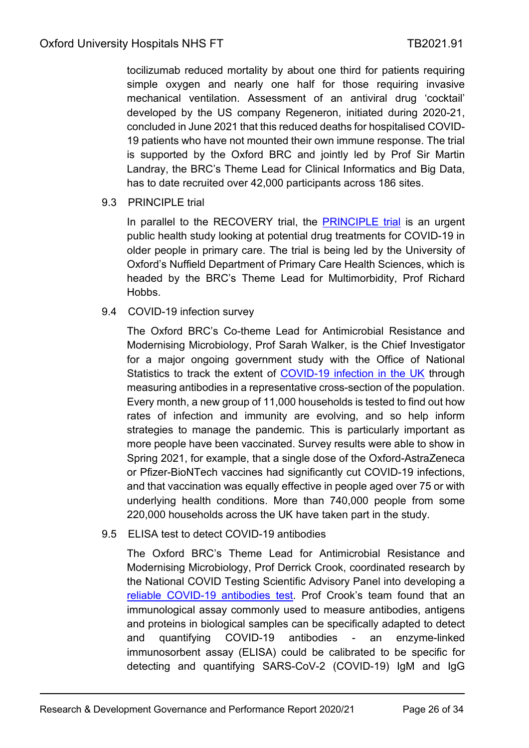tocilizumab reduced mortality by about one third for patients requiring simple oxygen and nearly one half for those requiring invasive mechanical ventilation. Assessment of an antiviral drug 'cocktail' developed by the US company Regeneron, initiated during 2020-21, concluded in June 2021 that this reduced deaths for hospitalised COVID-19 patients who have not mounted their own immune response. The trial is supported by the Oxford BRC and jointly led by Prof Sir Martin Landray, the BRC's Theme Lead for Clinical Informatics and Big Data, has to date recruited over 42,000 participants across 186 sites.

#### 9.3 PRINCIPLE trial

In parallel to the RECOVERY trial, the [PRINCIPLE trial](https://www.principletrial.org/) is an urgent public health study looking at potential drug treatments for COVID-19 in older people in primary care. The trial is being led by the University of Oxford's Nuffield Department of Primary Care Health Sciences, which is headed by the BRC's Theme Lead for Multimorbidity, Prof Richard Hobbs.

#### 9.4 COVID-19 infection survey

The Oxford BRC's Co-theme Lead for Antimicrobial Resistance and Modernising Microbiology, Prof Sarah Walker, is the Chief Investigator for a major ongoing government study with the Office of National Statistics to track the extent of [COVID-19 infection in the UK](https://oxfordbrc.nihr.ac.uk/large-scale-covid-19-infection-and-antibody-test-study-launched/) through measuring antibodies in a representative cross-section of the population. Every month, a new group of 11,000 households is tested to find out how rates of infection and immunity are evolving, and so help inform strategies to manage the pandemic. This is particularly important as more people have been vaccinated. Survey results were able to show in Spring 2021, for example, that a single dose of the Oxford-AstraZeneca or Pfizer-BioNTech vaccines had significantly cut COVID-19 infections, and that vaccination was equally effective in people aged over 75 or with underlying health conditions. More than 740,000 people from some 220,000 households across the UK have taken part in the study.

### 9.5 ELISA test to detect COVID-19 antibodies

The Oxford BRC's Theme Lead for Antimicrobial Resistance and Modernising Microbiology, Prof Derrick Crook, coordinated research by the National COVID Testing Scientific Advisory Panel into developing a [reliable COVID-19 antibodies test.](https://oxfordbrc.nihr.ac.uk/common-antibody-test-can-be-adapted-for-covid-19-study-finds/) Prof Crook's team found that an immunological assay commonly used to measure antibodies, antigens and proteins in biological samples can be specifically adapted to detect and quantifying COVID-19 antibodies - an enzyme-linked immunosorbent assay (ELISA) could be calibrated to be specific for detecting and quantifying SARS-CoV-2 (COVID-19) IgM and IgG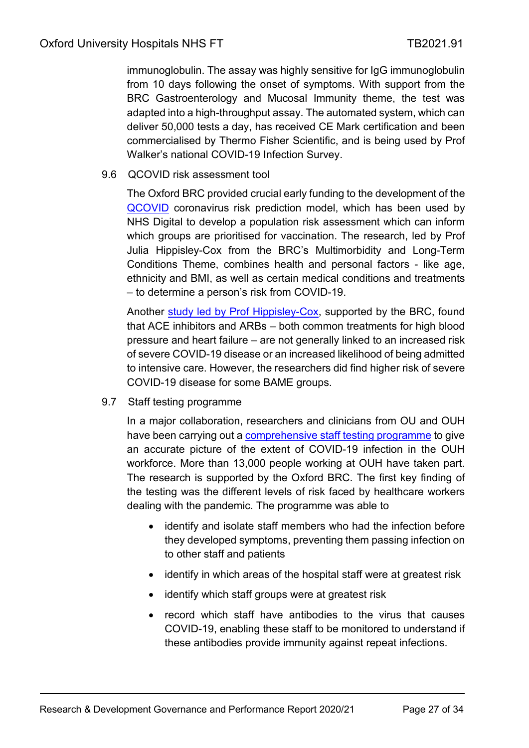immunoglobulin. The assay was highly sensitive for IgG immunoglobulin from 10 days following the onset of symptoms. With support from the BRC Gastroenterology and Mucosal Immunity theme, the test was adapted into a high-throughput assay. The automated system, which can deliver 50,000 tests a day, has received CE Mark certification and been commercialised by Thermo Fisher Scientific, and is being used by Prof Walker's national COVID-19 Infection Survey.

9.6 QCOVID risk assessment tool

The Oxford BRC provided crucial early funding to the development of the [QCOVID](https://oxfordbrc.nihr.ac.uk/oxford-led-technology-to-help-those-at-high-risk-from-covid-19/?highlight=QCOVID) coronavirus risk prediction model, which has been used by NHS Digital to develop a population risk assessment which can inform which groups are prioritised for vaccination. The research, led by Prof Julia Hippisley-Cox from the BRC's Multimorbidity and Long-Term Conditions Theme, combines health and personal factors - like age, ethnicity and BMI, as well as certain medical conditions and treatments – to determine a person's risk from COVID-19.

Another [study led by Prof Hippisley-Cox,](https://oxfordbrc.nihr.ac.uk/common-heart-medication-does-not-increase-risk-of-covid-19-hospitalisation/) supported by the BRC, found that ACE inhibitors and ARBs – both common treatments for high blood pressure and heart failure – are not generally linked to an increased risk of severe COVID-19 disease or an increased likelihood of being admitted to intensive care. However, the researchers did find higher risk of severe COVID-19 disease for some BAME groups.

9.7 Staff testing programme

In a major collaboration, researchers and clinicians from OU and OUH have been carrying out a [comprehensive staff testing programme](https://oxfordbrc.nihr.ac.uk/varying-risk-of-covid-19-to-health-workers-revealed/) to give an accurate picture of the extent of COVID-19 infection in the OUH workforce. More than 13,000 people working at OUH have taken part. The research is supported by the Oxford BRC. The first key finding of the testing was the different levels of risk faced by healthcare workers dealing with the pandemic. The programme was able to

- identify and isolate staff members who had the infection before they developed symptoms, preventing them passing infection on to other staff and patients
- identify in which areas of the hospital staff were at greatest risk
- identify which staff groups were at greatest risk
- record which staff have antibodies to the virus that causes COVID-19, enabling these staff to be monitored to understand if these antibodies provide immunity against repeat infections.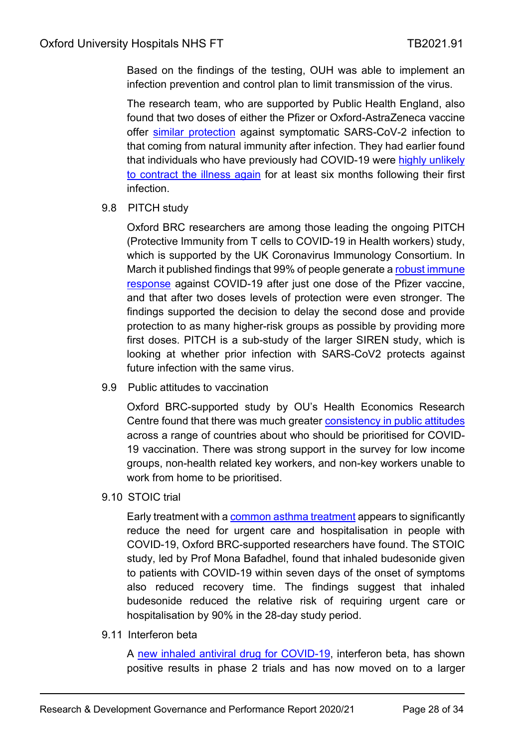Based on the findings of the testing, OUH was able to implement an infection prevention and control plan to limit transmission of the virus.

The research team, who are supported by Public Health England, also found that two doses of either the Pfizer or Oxford-AstraZeneca vaccine offer [similar protection](https://oxfordbrc.nihr.ac.uk/two-doses-of-vaccine-offer-same-protection-from-covid-as-prior-infection-study-finds/) against symptomatic SARS-CoV-2 infection to that coming from natural immunity after infection. They had earlier found that individuals who have previously had COVID-19 were [highly unlikely](https://oxfordbrc.nihr.ac.uk/prior-covid-19-infection-offers-protection-from-re-infection-for-at-least-six-months/)  [to contract the illness again](https://oxfordbrc.nihr.ac.uk/prior-covid-19-infection-offers-protection-from-re-infection-for-at-least-six-months/) for at least six months following their first infection.

9.8 PITCH study

Oxford BRC researchers are among those leading the ongoing PITCH (Protective Immunity from T cells to COVID-19 in Health workers) study, which is supported by the UK Coronavirus Immunology Consortium. In March it published findings that 99% of people generate a robust immune [response](https://oxfordbrc.nihr.ac.uk/new-study-finds-strong-immune-response-following-covid-19-vaccination/) against COVID-19 after just one dose of the Pfizer vaccine, and that after two doses levels of protection were even stronger. The findings supported the decision to delay the second dose and provide protection to as many higher-risk groups as possible by providing more first doses. PITCH is a sub-study of the larger SIREN study, which is looking at whether prior infection with SARS-CoV2 protects against future infection with the same virus.

9.9 Public attitudes to vaccination

Oxford BRC-supported study by OU's Health Economics Research Centre found that there was much greater [consistency in public attitudes](https://oxfordbrc.nihr.ac.uk/oxford-study-reveals-public-attitudes-to-vaccine-roll-out-programmes/) across a range of countries about who should be prioritised for COVID-19 vaccination. There was strong support in the survey for low income groups, non-health related key workers, and non-key workers unable to work from home to be prioritised.

9.10 STOIC trial

Early treatment with a [common asthma treatment](https://oxfordbrc.nihr.ac.uk/common-asthma-treatment-reduces-need-for-hospitalisation-in-covid-19-patients-study-suggests/) appears to significantly reduce the need for urgent care and hospitalisation in people with COVID-19, Oxford BRC-supported researchers have found. The STOIC study, led by Prof Mona Bafadhel, found that inhaled budesonide given to patients with COVID-19 within seven days of the onset of symptoms also reduced recovery time. The findings suggest that inhaled budesonide reduced the relative risk of requiring urgent care or hospitalisation by 90% in the 28-day study period.

9.11 Interferon beta

A [new inhaled antiviral drug for COVID-19,](https://oxfordbrc.nihr.ac.uk/interferon-b-trial-shows-positive-results/?highlight=Synairgen) interferon beta, has shown positive results in phase 2 trials and has now moved on to a larger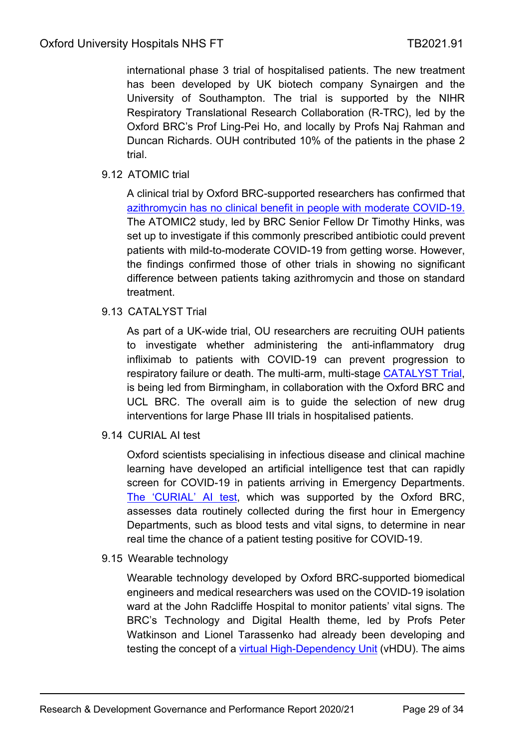international phase 3 trial of hospitalised patients. The new treatment has been developed by UK biotech company Synairgen and the University of Southampton. The trial is supported by the NIHR Respiratory Translational Research Collaboration (R-TRC), led by the Oxford BRC's Prof Ling-Pei Ho, and locally by Profs Naj Rahman and Duncan Richards. OUH contributed 10% of the patients in the phase 2 trial.

### 9.12 ATOMIC trial

A clinical trial by Oxford BRC-supported researchers has confirmed that azithromycin has no clinical benefit [in people with moderate COVID-19.](https://oxfordbrc.nihr.ac.uk/azithromycin-not-effective-against-covid-19-trial-confirms/) The ATOMIC2 study, led by BRC Senior Fellow Dr Timothy Hinks, was set up to investigate if this commonly prescribed antibiotic could prevent patients with mild-to-moderate COVID-19 from getting worse. However, the findings confirmed those of other trials in showing no significant difference between patients taking azithromycin and those on standard treatment.

9.13 CATALYST Trial

As part of a UK-wide trial, OU researchers are recruiting OUH patients to investigate whether administering the anti-inflammatory drug infliximab to patients with COVID-19 can prevent progression to respiratory failure or death. The multi-arm, multi-stage [CATALYST Trial,](https://oxfordbrc.nihr.ac.uk/oxford-leads-part-of-major-covid-19-drugs-trial/) is being led from Birmingham, in collaboration with the Oxford BRC and UCL BRC. The overall aim is to guide the selection of new drug interventions for large Phase III trials in hospitalised patients.

9.14 CURIAL AI test

Oxford scientists specialising in infectious disease and clinical machine learning have developed an artificial intelligence test that can rapidly screen for COVID-19 in patients arriving in Emergency Departments. [The 'CURIAL' AI test,](https://oxfordbrc.nihr.ac.uk/ai-test-identifies-covid-19-within-an-hour-in-emergency-departments/) which was supported by the Oxford BRC, assesses data routinely collected during the first hour in Emergency Departments, such as blood tests and vital signs, to determine in near real time the chance of a patient testing positive for COVID-19.

9.15 Wearable technology

Wearable technology developed by Oxford BRC-supported biomedical engineers and medical researchers was used on the COVID-19 isolation ward at the John Radcliffe Hospital to monitor patients' vital signs. The BRC's Technology and Digital Health theme, led by Profs Peter Watkinson and Lionel Tarassenko had already been developing and testing the concept of a [virtual High-Dependency Unit](https://oxfordbrc.nihr.ac.uk/new-wearable-technology-used-to-monitor-covid-19-patients/) (vHDU). The aims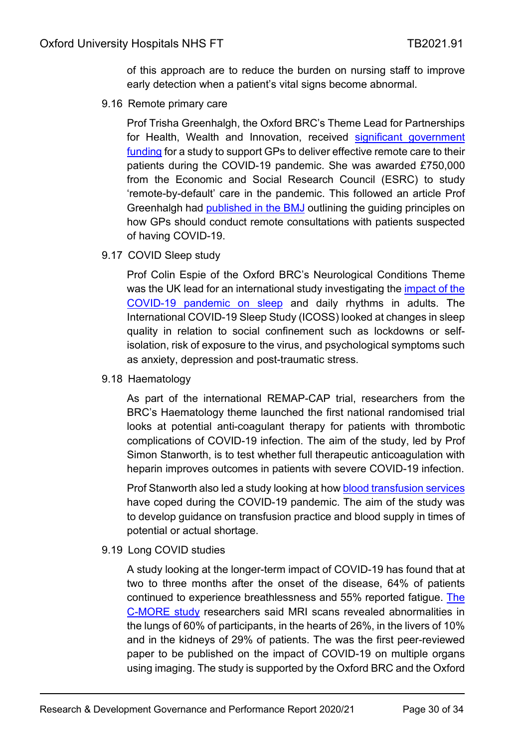of this approach are to reduce the burden on nursing staff to improve early detection when a patient's vital signs become abnormal.

9.16 Remote primary care

Prof Trisha Greenhalgh, the Oxford BRC's Theme Lead for Partnerships for Health, Wealth and Innovation, received significant government [funding](https://oxfordbrc.nihr.ac.uk/brc-theme-lead-to-study-remote-by-default-care-in-covid-19-pandemic/) for a study to support GPs to deliver effective remote care to their patients during the COVID-19 pandemic. She was awarded £750,000 from the Economic and Social Research Council (ESRC) to study 'remote-by-default' care in the pandemic. This followed an article Prof Greenhalgh had [published in the BMJ](https://www.bmj.com/content/368/bmj.m1182) outlining the guiding principles on how GPs should conduct remote consultations with patients suspected of having COVID-19.

9.17 COVID Sleep study

Prof Colin Espie of the Oxford BRC's Neurological Conditions Theme was the UK lead for an international study investigating the [impact of the](https://oxfordbrc.nihr.ac.uk/study-explores-effects-of-covid-19-on-sleep/)  [COVID-19 pandemic on sleep](https://oxfordbrc.nihr.ac.uk/study-explores-effects-of-covid-19-on-sleep/) and daily rhythms in adults. The International COVID-19 Sleep Study (ICOSS) looked at changes in sleep quality in relation to social confinement such as lockdowns or selfisolation, risk of exposure to the virus, and psychological symptoms such as anxiety, depression and post-traumatic stress.

9.18 Haematology

As part of the international REMAP-CAP trial, researchers from the BRC's Haematology theme launched the first national randomised trial looks at potential anti-coagulant therapy for patients with thrombotic complications of COVID-19 infection. The aim of the study, led by Prof Simon Stanworth, is to test whether full therapeutic anticoagulation with heparin improves outcomes in patients with severe COVID-19 infection.

Prof Stanworth also led a study looking at how **blood transfusion services** have coped during the COVID-19 pandemic. The aim of the study was to develop guidance on transfusion practice and blood supply in times of potential or actual shortage.

9.19 Long COVID studies

A study looking at the longer-term impact of COVID-19 has found that at two to three months after the onset of the disease, 64% of patients continued to experience breathlessness and 55% reported fatigue. [The](https://oxfordbrc.nihr.ac.uk/oxford-study-confirms-medium-term-impact-of-covid-19/)  [C-MORE study](https://oxfordbrc.nihr.ac.uk/oxford-study-confirms-medium-term-impact-of-covid-19/) researchers said MRI scans revealed abnormalities in the lungs of 60% of participants, in the hearts of 26%, in the livers of 10% and in the kidneys of 29% of patients. The was the first peer-reviewed paper to be published on the impact of COVID-19 on multiple organs using imaging. The study is supported by the Oxford BRC and the Oxford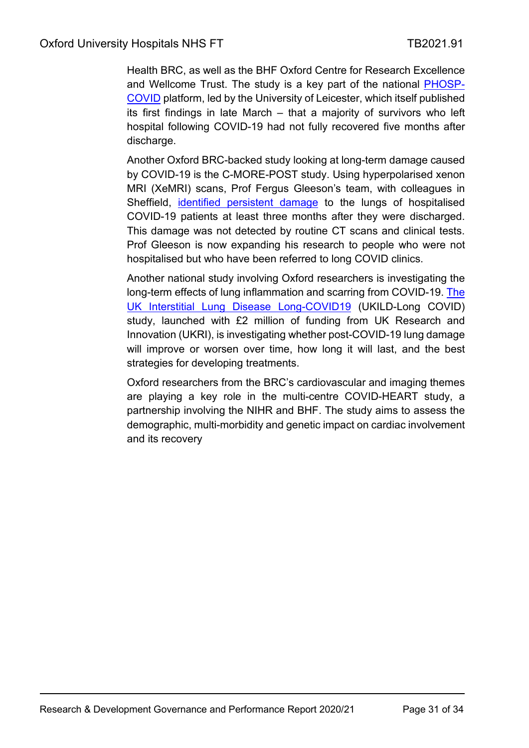Health BRC, as well as the BHF Oxford Centre for Research Excellence and Wellcome Trust. The study is a key part of the national [PHOSP-](https://www.phosp.org/)[COVID](https://www.phosp.org/) platform, led by the University of Leicester, which itself published its first findings in late March – that a majority of survivors who left hospital following COVID-19 had not fully recovered five months after discharge.

Another Oxford BRC-backed study looking at long-term damage caused by COVID-19 is the C-MORE-POST study. Using hyperpolarised xenon MRI (XeMRI) scans, Prof Fergus Gleeson's team, with colleagues in Sheffield, [identified persistent damage](https://oxfordbrc.nihr.ac.uk/study-confirms-longer-term-lung-damage-after-covid-19/?highlight=gleeson) to the lungs of hospitalised COVID-19 patients at least three months after they were discharged. This damage was not detected by routine CT scans and clinical tests. Prof Gleeson is now expanding his research to people who were not hospitalised but who have been referred to long COVID clinics.

Another national study involving Oxford researchers is investigating the long-term effects of lung inflammation and scarring from COVID-19. [The](https://oxfordbrc.nihr.ac.uk/national-study-looks-at-long-term-lung-damage-from-covid-19/)  [UK Interstitial Lung Disease Long-COVID19](https://oxfordbrc.nihr.ac.uk/national-study-looks-at-long-term-lung-damage-from-covid-19/) (UKILD-Long COVID) study, launched with £2 million of funding from UK Research and Innovation (UKRI), is investigating whether post-COVID-19 lung damage will improve or worsen over time, how long it will last, and the best strategies for developing treatments.

Oxford researchers from the BRC's cardiovascular and imaging themes are playing a key role in the multi-centre COVID-HEART study, a partnership involving the NIHR and BHF. The study aims to assess the demographic, multi-morbidity and genetic impact on cardiac involvement and its recovery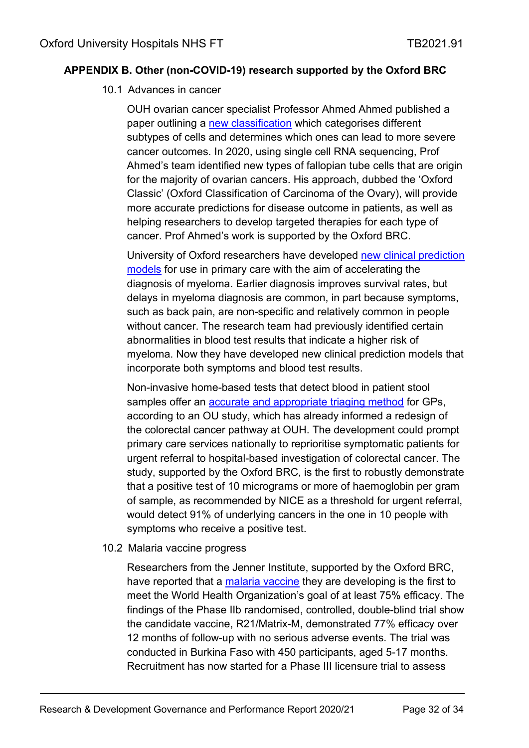#### <span id="page-31-0"></span>**APPENDIX B. Other (non-COVID-19) research supported by the Oxford BRC**

#### 10.1 Advances in cancer

OUH ovarian cancer specialist Professor Ahmed Ahmed published a paper outlining a [new classification](https://oxfordbrc.nihr.ac.uk/classification-system-uncovers-new-information-about-ovarian-cancers/) which categorises different subtypes of cells and determines which ones can lead to more severe cancer outcomes. In 2020, using single cell RNA sequencing, Prof Ahmed's team identified new types of fallopian tube cells that are origin for the majority of ovarian cancers. His approach, dubbed the 'Oxford Classic' (Oxford Classification of Carcinoma of the Ovary), will provide more accurate predictions for disease outcome in patients, as well as helping researchers to develop targeted therapies for each type of cancer. Prof Ahmed's work is supported by the Oxford BRC.

University of Oxford researchers have developed [new clinical prediction](https://oxfordbrc.nihr.ac.uk/new-clinical-prediction-tools-for-myeloma-developed/)  [models](https://oxfordbrc.nihr.ac.uk/new-clinical-prediction-tools-for-myeloma-developed/) for use in primary care with the aim of accelerating the diagnosis of myeloma. Earlier diagnosis improves survival rates, but delays in myeloma diagnosis are common, in part because symptoms, such as back pain, are non-specific and relatively common in people without cancer. The research team had previously identified certain abnormalities in blood test results that indicate a higher risk of myeloma. Now they have developed new clinical prediction models that incorporate both symptoms and blood test results.

Non-invasive home-based tests that detect blood in patient stool samples offer an [accurate and appropriate triaging method](https://oxfordbrc.nihr.ac.uk/home-colorectal-cancer-tests-could-prioritise-patients-for-referral/) for GPs, according to an OU study, which has already informed a redesign of the colorectal cancer pathway at OUH. The development could prompt primary care services nationally to reprioritise symptomatic patients for urgent referral to hospital-based investigation of colorectal cancer. The study, supported by the Oxford BRC, is the first to robustly demonstrate that a positive test of 10 micrograms or more of haemoglobin per gram of sample, as recommended by NICE as a threshold for urgent referral, would detect 91% of underlying cancers in the one in 10 people with symptoms who receive a positive test.

#### 10.2 Malaria vaccine progress

Researchers from the Jenner Institute, supported by the Oxford BRC, have reported that a [malaria vaccine](https://oxfordbrc.nihr.ac.uk/malaria-vaccine-becomes-first-to-achieve-who-specified-75-efficacy-goal/) they are developing is the first to meet the World Health Organization's goal of at least 75% efficacy. The findings of the Phase IIb randomised, controlled, double-blind trial show the candidate vaccine, R21/Matrix-M, demonstrated 77% efficacy over 12 months of follow-up with no serious adverse events. The trial was conducted in Burkina Faso with 450 participants, aged 5-17 months. Recruitment has now started for a Phase III licensure trial to assess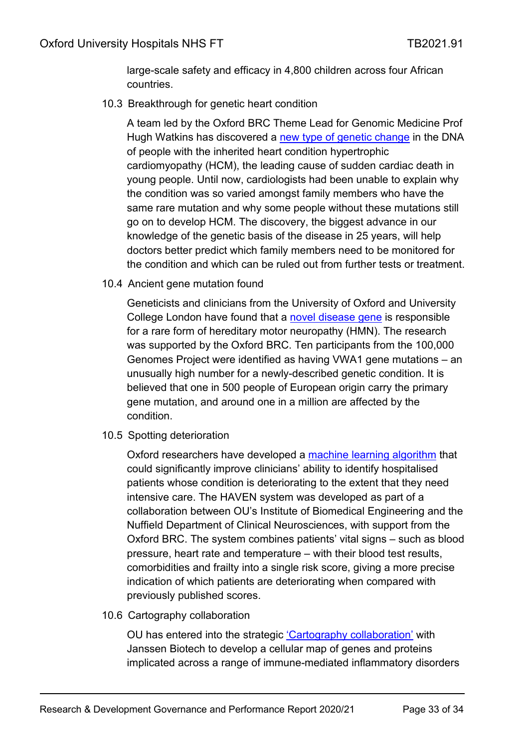large-scale safety and efficacy in 4,800 children across four African countries.

10.3 Breakthrough for genetic heart condition

A team led by the Oxford BRC Theme Lead for Genomic Medicine Prof Hugh Watkins has discovered a [new type of genetic change](https://oxfordbrc.nihr.ac.uk/genetic-breakthrough-to-target-care-for-deadly-heart-condition/) in the DNA of people with the inherited heart condition hypertrophic cardiomyopathy (HCM), the leading cause of sudden cardiac death in young people. Until now, cardiologists had been unable to explain why the condition was so varied amongst family members who have the same rare mutation and why some people without these mutations still go on to develop HCM. The discovery, the biggest advance in our knowledge of the genetic basis of the disease in 25 years, will help doctors better predict which family members need to be monitored for the condition and which can be ruled out from further tests or treatment.

10.4 Ancient gene mutation found

Geneticists and clinicians from the University of Oxford and University College London have found that a [novel disease gene](https://oxfordbrc.nihr.ac.uk/ancient-gene-mutation-found-to-cause-rare-hereditary-condition/) is responsible for a rare form of hereditary motor neuropathy (HMN). The research was supported by the Oxford BRC. Ten participants from the 100,000 Genomes Project were identified as having VWA1 gene mutations – an unusually high number for a newly-described genetic condition. It is believed that one in 500 people of European origin carry the primary gene mutation, and around one in a million are affected by the condition.

10.5 Spotting deterioration

Oxford researchers have developed a [machine learning algorithm](https://oxfordbrc.nihr.ac.uk/machine-learning-system-developed-to-identify-deteriorating-patients-in-hospital/) that could significantly improve clinicians' ability to identify hospitalised patients whose condition is deteriorating to the extent that they need intensive care. The HAVEN system was developed as part of a collaboration between OU's Institute of Biomedical Engineering and the Nuffield Department of Clinical Neurosciences, with support from the Oxford BRC. The system combines patients' vital signs – such as blood pressure, heart rate and temperature – with their blood test results, comorbidities and frailty into a single risk score, giving a more precise indication of which patients are deteriorating when compared with previously published scores.

10.6 Cartography collaboration

OU has entered into the strategic ['Cartography collaboration'](https://oxfordbrc.nihr.ac.uk/oxford-collaborates-with-janssen-to-map-the-cellular-landscape-of-immune-mediated-disorders/) with Janssen Biotech to develop a cellular map of genes and proteins implicated across a range of immune-mediated inflammatory disorders